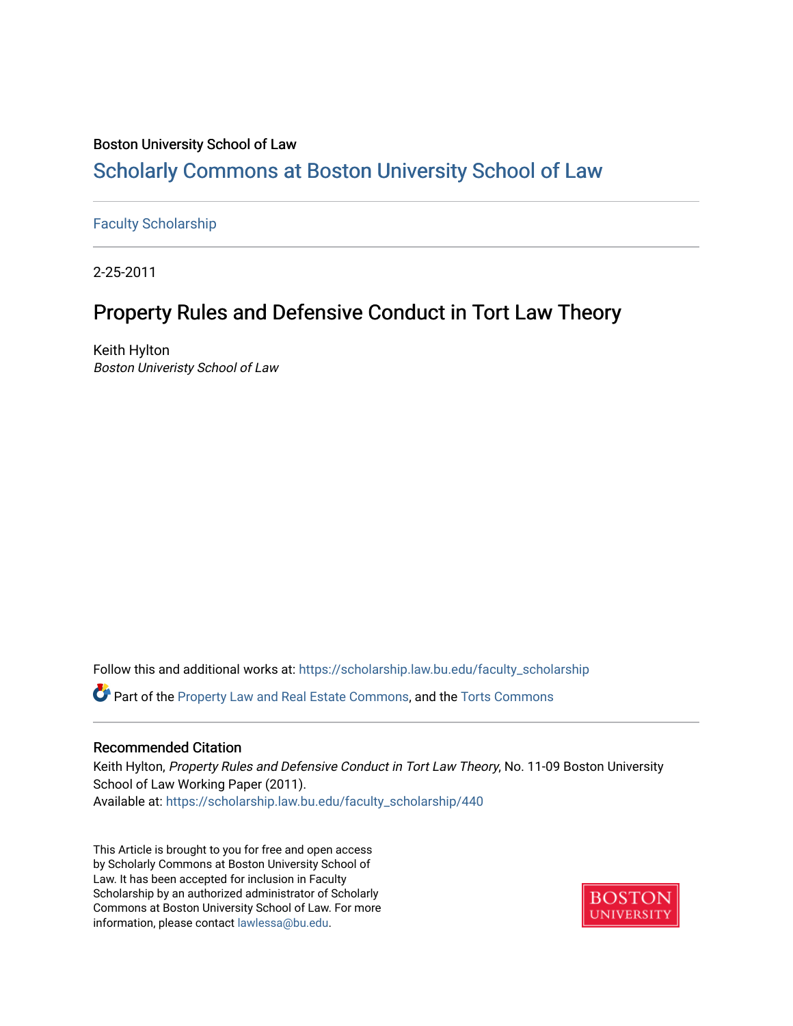## Boston University School of Law [Scholarly Commons at Boston University School of Law](https://scholarship.law.bu.edu/)

## [Faculty Scholarship](https://scholarship.law.bu.edu/faculty_scholarship)

2-25-2011

# Property Rules and Defensive Conduct in Tort Law Theory

Keith Hylton Boston Univeristy School of Law

Follow this and additional works at: [https://scholarship.law.bu.edu/faculty\\_scholarship](https://scholarship.law.bu.edu/faculty_scholarship?utm_source=scholarship.law.bu.edu%2Ffaculty_scholarship%2F440&utm_medium=PDF&utm_campaign=PDFCoverPages)

Part of the [Property Law and Real Estate Commons,](http://network.bepress.com/hgg/discipline/897?utm_source=scholarship.law.bu.edu%2Ffaculty_scholarship%2F440&utm_medium=PDF&utm_campaign=PDFCoverPages) and the [Torts Commons](http://network.bepress.com/hgg/discipline/913?utm_source=scholarship.law.bu.edu%2Ffaculty_scholarship%2F440&utm_medium=PDF&utm_campaign=PDFCoverPages) 

## Recommended Citation

Keith Hylton, Property Rules and Defensive Conduct in Tort Law Theory, No. 11-09 Boston University School of Law Working Paper (2011). Available at: [https://scholarship.law.bu.edu/faculty\\_scholarship/440](https://scholarship.law.bu.edu/faculty_scholarship/440?utm_source=scholarship.law.bu.edu%2Ffaculty_scholarship%2F440&utm_medium=PDF&utm_campaign=PDFCoverPages) 

This Article is brought to you for free and open access by Scholarly Commons at Boston University School of Law. It has been accepted for inclusion in Faculty Scholarship by an authorized administrator of Scholarly Commons at Boston University School of Law. For more information, please contact [lawlessa@bu.edu.](mailto:lawlessa@bu.edu)

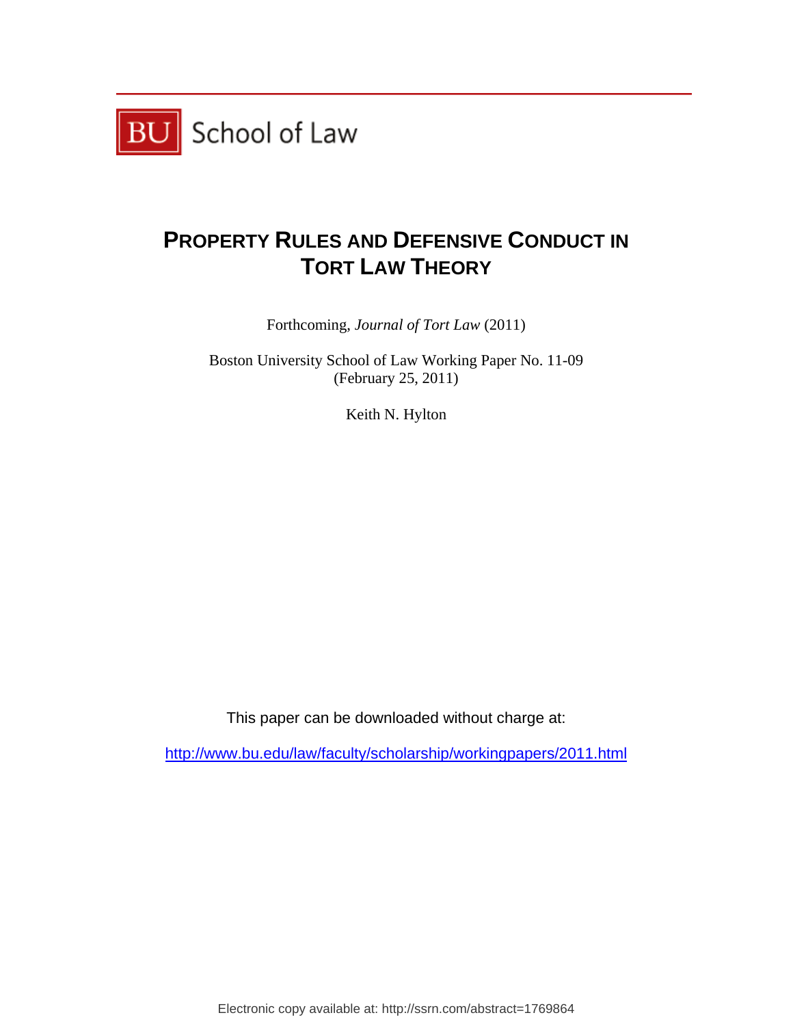

# **PROPERTY RULES AND DEFENSIVE CONDUCT IN TORT LAW THEORY**

Forthcoming, *Journal of Tort Law* (2011)

Boston University School of Law Working Paper No. 11-09 (February 25, 2011)

Keith N. Hylton

This paper can be downloaded without charge at:

http://www.bu.edu/law/faculty/scholarship/workingpapers/2011.html

Electronic copy available at: http://ssrn.com/abstract=1769864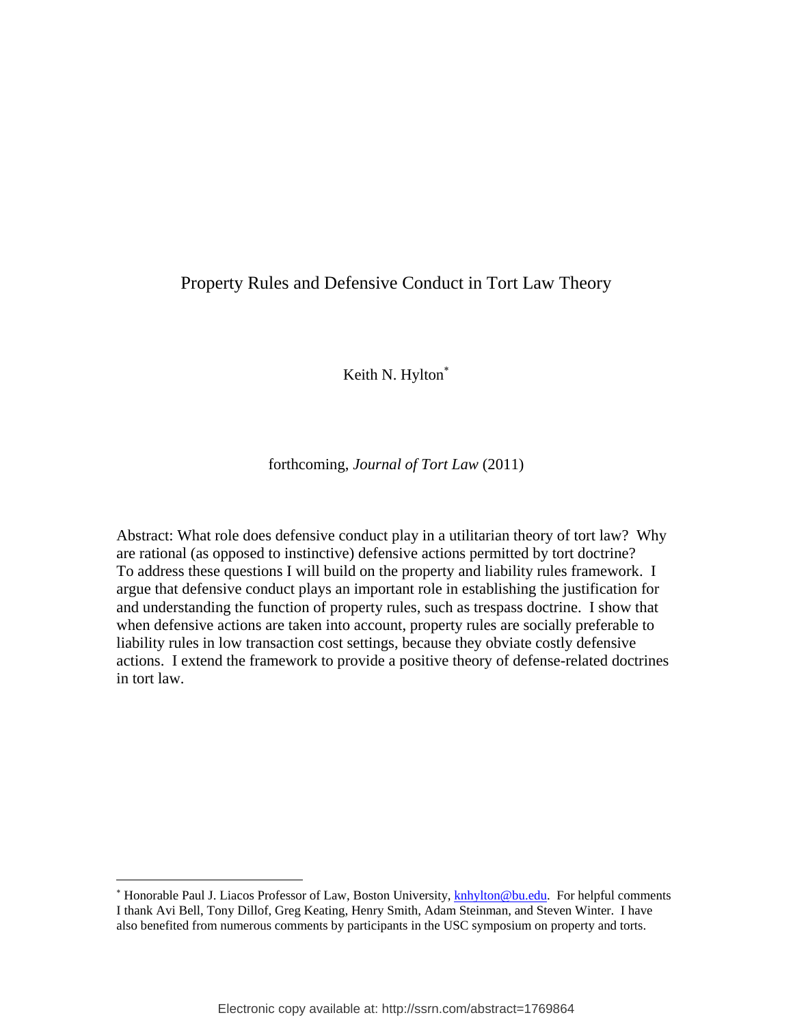## Property Rules and Defensive Conduct in Tort Law Theory

Keith N. Hylton<sup>\*</sup>

forthcoming, *Journal of Tort Law* (2011)

Abstract: What role does defensive conduct play in a utilitarian theory of tort law? Why are rational (as opposed to instinctive) defensive actions permitted by tort doctrine? To address these questions I will build on the property and liability rules framework. I argue that defensive conduct plays an important role in establishing the justification for and understanding the function of property rules, such as trespass doctrine. I show that when defensive actions are taken into account, property rules are socially preferable to liability rules in low transaction cost settings, because they obviate costly defensive actions. I extend the framework to provide a positive theory of defense-related doctrines in tort law.

<sup>\*</sup> Honorable Paul J. Liacos Professor of Law, Boston University, **knhylton@bu.edu.** For helpful comments I thank Avi Bell, Tony Dillof, Greg Keating, Henry Smith, Adam Steinman, and Steven Winter. I have also benefited from numerous comments by participants in the USC symposium on property and torts.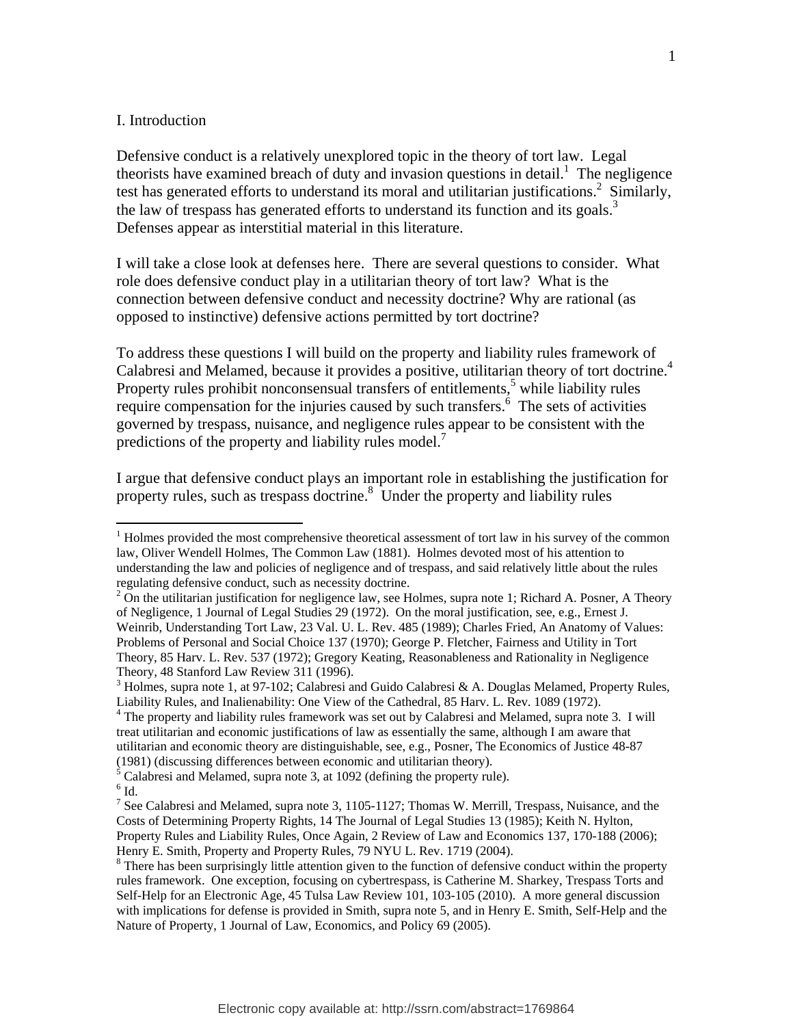## I. Introduction

Defensive conduct is a relatively unexplored topic in the theory of tort law. Legal theorists have examined breach of duty and invasion questions in detail.<sup>1</sup> The negligence test has generated efforts to understand its moral and utilitarian justifications.<sup>2</sup> Similarly, the law of trespass has generated efforts to understand its function and its goals.<sup>3</sup> Defenses appear as interstitial material in this literature.

I will take a close look at defenses here. There are several questions to consider. What role does defensive conduct play in a utilitarian theory of tort law? What is the connection between defensive conduct and necessity doctrine? Why are rational (as opposed to instinctive) defensive actions permitted by tort doctrine?

To address these questions I will build on the property and liability rules framework of Calabresi and Melamed, because it provides a positive, utilitarian theory of tort doctrine.<sup>4</sup> Property rules prohibit nonconsensual transfers of entitlements,<sup>5</sup> while liability rules require compensation for the injuries caused by such transfers.<sup>6</sup> The sets of activities governed by trespass, nuisance, and negligence rules appear to be consistent with the predictions of the property and liability rules model.<sup>7</sup>

I argue that defensive conduct plays an important role in establishing the justification for property rules, such as trespass doctrine.<sup>8</sup> Under the property and liability rules

 $<sup>1</sup>$  Holmes provided the most comprehensive theoretical assessment of tort law in his survey of the common</sup> law, Oliver Wendell Holmes, The Common Law (1881). Holmes devoted most of his attention to understanding the law and policies of negligence and of trespass, and said relatively little about the rules regulating defensive conduct, such as necessity doctrine.

 $2^{2}$  On the utilitarian justification for negligence law, see Holmes, supra note 1; Richard A. Posner, A Theory of Negligence, 1 Journal of Legal Studies 29 (1972). On the moral justification, see, e.g., Ernest J. Weinrib, Understanding Tort Law, 23 Val. U. L. Rev. 485 (1989); Charles Fried, An Anatomy of Values: Problems of Personal and Social Choice 137 (1970); George P. Fletcher, Fairness and Utility in Tort Theory, 85 Harv. L. Rev. 537 (1972); Gregory Keating, Reasonableness and Rationality in Negligence Theory, 48 Stanford Law Review 311 (1996).

 $3$  Holmes, supra note 1, at 97-102; Calabresi and Guido Calabresi & A. Douglas Melamed, Property Rules, Liability Rules, and Inalienability: One View of the Cathedral, 85 Harv. L. Rev. 1089 (1972). 4

<sup>&</sup>lt;sup>4</sup> The property and liability rules framework was set out by Calabresi and Melamed, supra note 3. I will treat utilitarian and economic justifications of law as essentially the same, although I am aware that utilitarian and economic theory are distinguishable, see, e.g., Posner, The Economics of Justice 48-87 (1981) (discussing differences between economic and utilitarian theory). 5

 $5$  Calabresi and Melamed, supra note 3, at 1092 (defining the property rule).

 $^6$  Id.

<sup>&</sup>lt;sup>7</sup> See Calabresi and Melamed, supra note 3, 1105-1127; Thomas W. Merrill, Trespass, Nuisance, and the Costs of Determining Property Rights, 14 The Journal of Legal Studies 13 (1985); Keith N. Hylton, Property Rules and Liability Rules, Once Again, 2 Review of Law and Economics 137, 170-188 (2006); Henry E. Smith, Property and Property Rules, 79 NYU L. Rev. 1719 (2004).

<sup>&</sup>lt;sup>8</sup> There has been surprisingly little attention given to the function of defensive conduct within the property rules framework. One exception, focusing on cybertrespass, is Catherine M. Sharkey, Trespass Torts and Self-Help for an Electronic Age, 45 Tulsa Law Review 101, 103-105 (2010). A more general discussion with implications for defense is provided in Smith, supra note 5, and in Henry E. Smith, Self-Help and the Nature of Property, 1 Journal of Law, Economics, and Policy 69 (2005).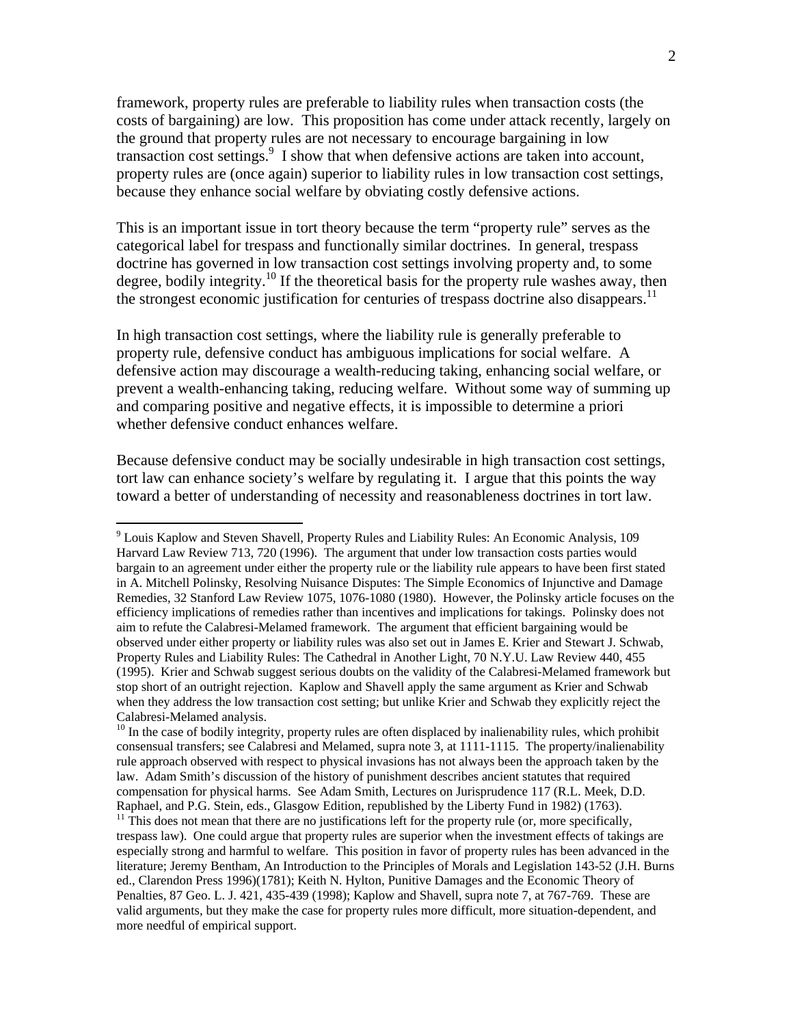framework, property rules are preferable to liability rules when transaction costs (the costs of bargaining) are low. This proposition has come under attack recently, largely on the ground that property rules are not necessary to encourage bargaining in low transaction cost settings.<sup>9</sup> I show that when defensive actions are taken into account, property rules are (once again) superior to liability rules in low transaction cost settings, because they enhance social welfare by obviating costly defensive actions.

This is an important issue in tort theory because the term "property rule" serves as the categorical label for trespass and functionally similar doctrines. In general, trespass doctrine has governed in low transaction cost settings involving property and, to some degree, bodily integrity.<sup>10</sup> If the theoretical basis for the property rule washes away, then the strongest economic justification for centuries of trespass doctrine also disappears.<sup>11</sup>

In high transaction cost settings, where the liability rule is generally preferable to property rule, defensive conduct has ambiguous implications for social welfare. A defensive action may discourage a wealth-reducing taking, enhancing social welfare, or prevent a wealth-enhancing taking, reducing welfare. Without some way of summing up and comparing positive and negative effects, it is impossible to determine a priori whether defensive conduct enhances welfare.

Because defensive conduct may be socially undesirable in high transaction cost settings, tort law can enhance society's welfare by regulating it. I argue that this points the way toward a better of understanding of necessity and reasonableness doctrines in tort law.

<sup>&</sup>lt;u>- Louis Kaplow and Steven Shavell,</u> Property Rules and Liability Rules: An Economic Analysis, 109<br><sup>9</sup> Louis Kaplow and Steven Shavell, Property Rules and Liability Rules: An Economic Analysis, 109 Harvard Law Review 713, 720 (1996). The argument that under low transaction costs parties would bargain to an agreement under either the property rule or the liability rule appears to have been first stated in A. Mitchell Polinsky, Resolving Nuisance Disputes: The Simple Economics of Injunctive and Damage Remedies, 32 Stanford Law Review 1075, 1076-1080 (1980). However, the Polinsky article focuses on the efficiency implications of remedies rather than incentives and implications for takings. Polinsky does not aim to refute the Calabresi-Melamed framework. The argument that efficient bargaining would be observed under either property or liability rules was also set out in James E. Krier and Stewart J. Schwab, Property Rules and Liability Rules: The Cathedral in Another Light, 70 N.Y.U. Law Review 440, 455 (1995). Krier and Schwab suggest serious doubts on the validity of the Calabresi-Melamed framework but stop short of an outright rejection. Kaplow and Shavell apply the same argument as Krier and Schwab when they address the low transaction cost setting; but unlike Krier and Schwab they explicitly reject the Calabresi-Melamed analysis.

<sup>&</sup>lt;sup>10</sup> In the case of bodily integrity, property rules are often displaced by inalienability rules, which prohibit consensual transfers; see Calabresi and Melamed, supra note 3, at 1111-1115. The property/inalienability rule approach observed with respect to physical invasions has not always been the approach taken by the law. Adam Smith's discussion of the history of punishment describes ancient statutes that required compensation for physical harms. See Adam Smith, Lectures on Jurisprudence 117 (R.L. Meek, D.D. Raphael, and P.G. Stein, eds., Glasgow Edition, republished by the Liberty Fund in 1982) (1763).<br><sup>11</sup> This does not mean that there are no justifications left for the property rule (or, more specifically, trespass law). One could argue that property rules are superior when the investment effects of takings are especially strong and harmful to welfare. This position in favor of property rules has been advanced in the literature; Jeremy Bentham, An Introduction to the Principles of Morals and Legislation 143-52 (J.H. Burns ed., Clarendon Press 1996)(1781); Keith N. Hylton, Punitive Damages and the Economic Theory of Penalties, 87 Geo. L. J. 421, 435-439 (1998); Kaplow and Shavell, supra note 7, at 767-769. These are valid arguments, but they make the case for property rules more difficult, more situation-dependent, and more needful of empirical support.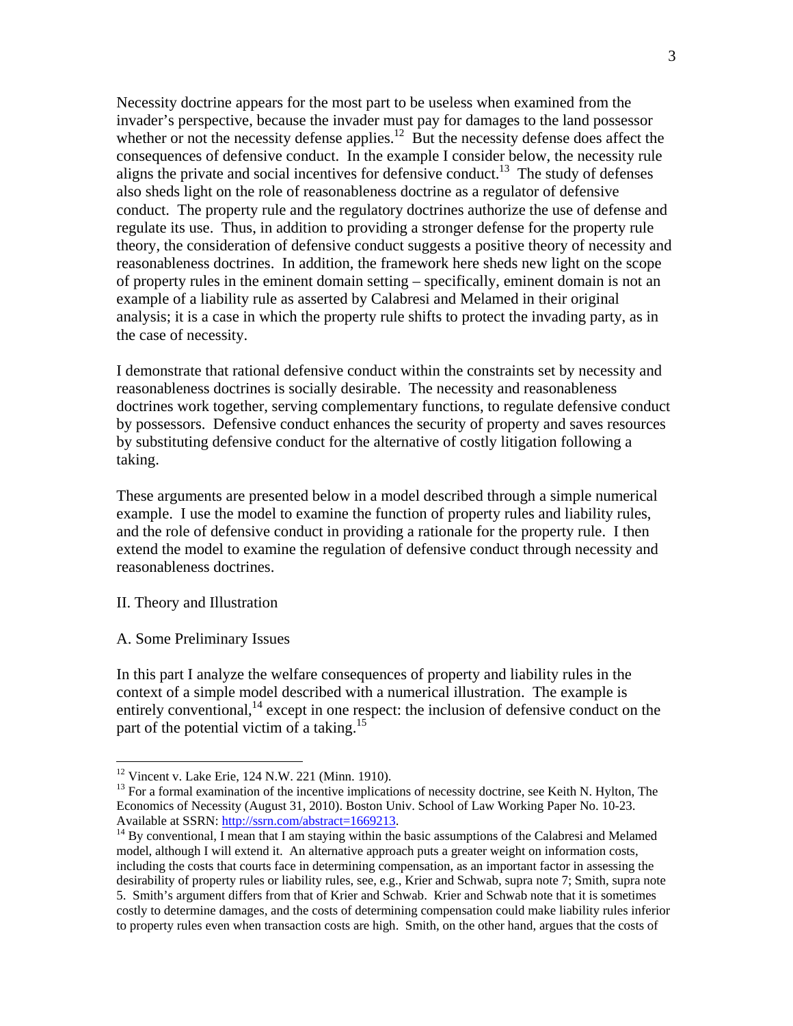Necessity doctrine appears for the most part to be useless when examined from the invader's perspective, because the invader must pay for damages to the land possessor whether or not the necessity defense applies.<sup>12</sup> But the necessity defense does affect the consequences of defensive conduct. In the example I consider below, the necessity rule aligns the private and social incentives for defensive conduct.<sup>13</sup> The study of defenses also sheds light on the role of reasonableness doctrine as a regulator of defensive conduct. The property rule and the regulatory doctrines authorize the use of defense and regulate its use. Thus, in addition to providing a stronger defense for the property rule theory, the consideration of defensive conduct suggests a positive theory of necessity and reasonableness doctrines. In addition, the framework here sheds new light on the scope of property rules in the eminent domain setting – specifically, eminent domain is not an example of a liability rule as asserted by Calabresi and Melamed in their original analysis; it is a case in which the property rule shifts to protect the invading party, as in the case of necessity.

I demonstrate that rational defensive conduct within the constraints set by necessity and reasonableness doctrines is socially desirable. The necessity and reasonableness doctrines work together, serving complementary functions, to regulate defensive conduct by possessors. Defensive conduct enhances the security of property and saves resources by substituting defensive conduct for the alternative of costly litigation following a taking.

These arguments are presented below in a model described through a simple numerical example. I use the model to examine the function of property rules and liability rules, and the role of defensive conduct in providing a rationale for the property rule. I then extend the model to examine the regulation of defensive conduct through necessity and reasonableness doctrines.

#### II. Theory and Illustration

A. Some Preliminary Issues

1

In this part I analyze the welfare consequences of property and liability rules in the context of a simple model described with a numerical illustration. The example is entirely conventional, $^{14}$  except in one respect: the inclusion of defensive conduct on the part of the potential victim of a taking.<sup>15</sup>

 $12$  Vincent v. Lake Erie, 124 N.W. 221 (Minn. 1910).

 $13$  For a formal examination of the incentive implications of necessity doctrine, see Keith N. Hylton, The Economics of Necessity (August 31, 2010). Boston Univ. School of Law Working Paper No. 10-23. Available at SSRN: http://ssrn.com/abstract=1669213.<br><sup>14</sup> By conventional, I mean that I am staying within the basic assumptions of the Calabresi and Melamed

model, although I will extend it. An alternative approach puts a greater weight on information costs, including the costs that courts face in determining compensation, as an important factor in assessing the desirability of property rules or liability rules, see, e.g., Krier and Schwab, supra note 7; Smith, supra note 5. Smith's argument differs from that of Krier and Schwab. Krier and Schwab note that it is sometimes costly to determine damages, and the costs of determining compensation could make liability rules inferior to property rules even when transaction costs are high. Smith, on the other hand, argues that the costs of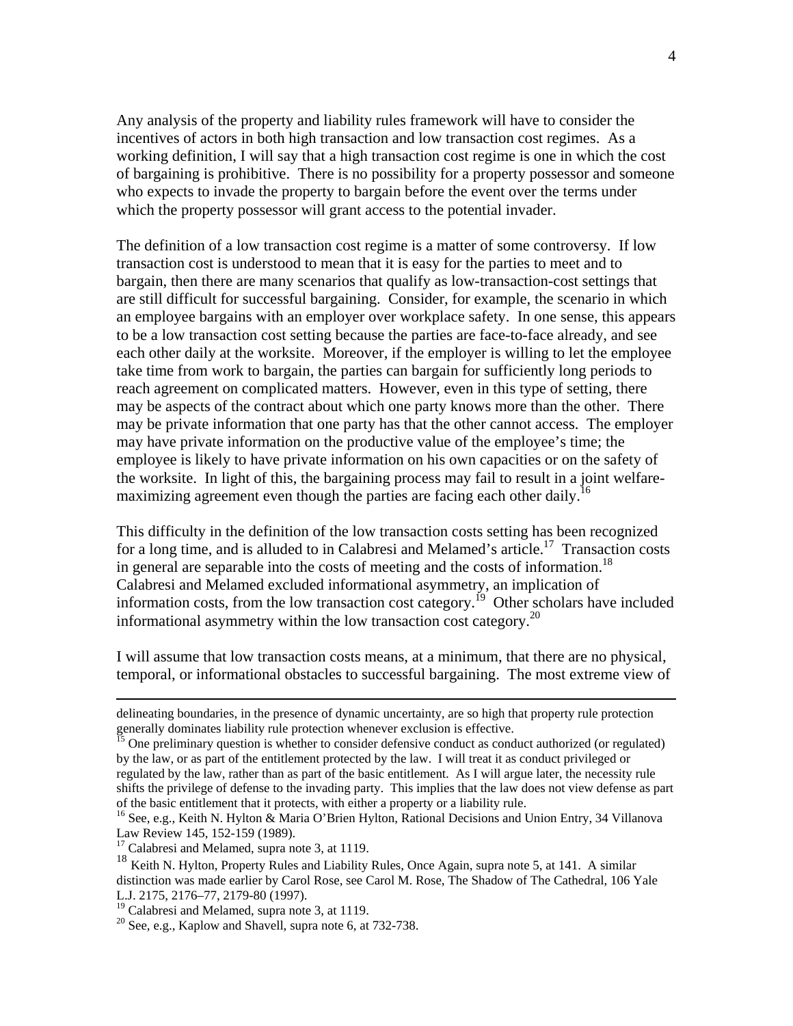Any analysis of the property and liability rules framework will have to consider the incentives of actors in both high transaction and low transaction cost regimes. As a working definition, I will say that a high transaction cost regime is one in which the cost of bargaining is prohibitive. There is no possibility for a property possessor and someone who expects to invade the property to bargain before the event over the terms under which the property possessor will grant access to the potential invader.

The definition of a low transaction cost regime is a matter of some controversy. If low transaction cost is understood to mean that it is easy for the parties to meet and to bargain, then there are many scenarios that qualify as low-transaction-cost settings that are still difficult for successful bargaining. Consider, for example, the scenario in which an employee bargains with an employer over workplace safety. In one sense, this appears to be a low transaction cost setting because the parties are face-to-face already, and see each other daily at the worksite. Moreover, if the employer is willing to let the employee take time from work to bargain, the parties can bargain for sufficiently long periods to reach agreement on complicated matters. However, even in this type of setting, there may be aspects of the contract about which one party knows more than the other. There may be private information that one party has that the other cannot access. The employer may have private information on the productive value of the employee's time; the employee is likely to have private information on his own capacities or on the safety of the worksite. In light of this, the bargaining process may fail to result in a joint welfaremaximizing agreement even though the parties are facing each other daily.<sup>16</sup>

This difficulty in the definition of the low transaction costs setting has been recognized for a long time, and is alluded to in Calabresi and Melamed's article.<sup>17</sup> Transaction costs in general are separable into the costs of meeting and the costs of information.<sup>18</sup> Calabresi and Melamed excluded informational asymmetry, an implication of information costs, from the low transaction cost category.<sup>19</sup> Other scholars have included informational asymmetry within the low transaction cost category. $^{20}$ 

I will assume that low transaction costs means, at a minimum, that there are no physical, temporal, or informational obstacles to successful bargaining. The most extreme view of

delineating boundaries, in the presence of dynamic uncertainty, are so high that property rule protection generally dominates liability rule protection whenever exclusion is effective.

 $\frac{15}{15}$  One preliminary question is whether to consider defensive conduct as conduct authorized (or regulated) by the law, or as part of the entitlement protected by the law. I will treat it as conduct privileged or regulated by the law, rather than as part of the basic entitlement. As I will argue later, the necessity rule shifts the privilege of defense to the invading party. This implies that the law does not view defense as part of the basic entitlement that it protects, with either a property or a liability rule.

<sup>&</sup>lt;sup>16</sup> See, e.g., Keith N. Hylton & Maria O'Brien Hylton, Rational Decisions and Union Entry, 34 Villanova Law Review 145, 152-159 (1989).

 $17$  Calabresi and Melamed, supra note 3, at 1119.

<sup>&</sup>lt;sup>18</sup> Keith N. Hylton, Property Rules and Liability Rules, Once Again, supra note 5, at 141. A similar distinction was made earlier by Carol Rose, see Carol M. Rose, The Shadow of The Cathedral, 106 Yale L.J. 2175, 2176–77, 2179-80 (1997).

<sup>&</sup>lt;sup>19</sup> Calabresi and Melamed, supra note 3, at 1119.

 $20$  See, e.g., Kaplow and Shavell, supra note 6, at 732-738.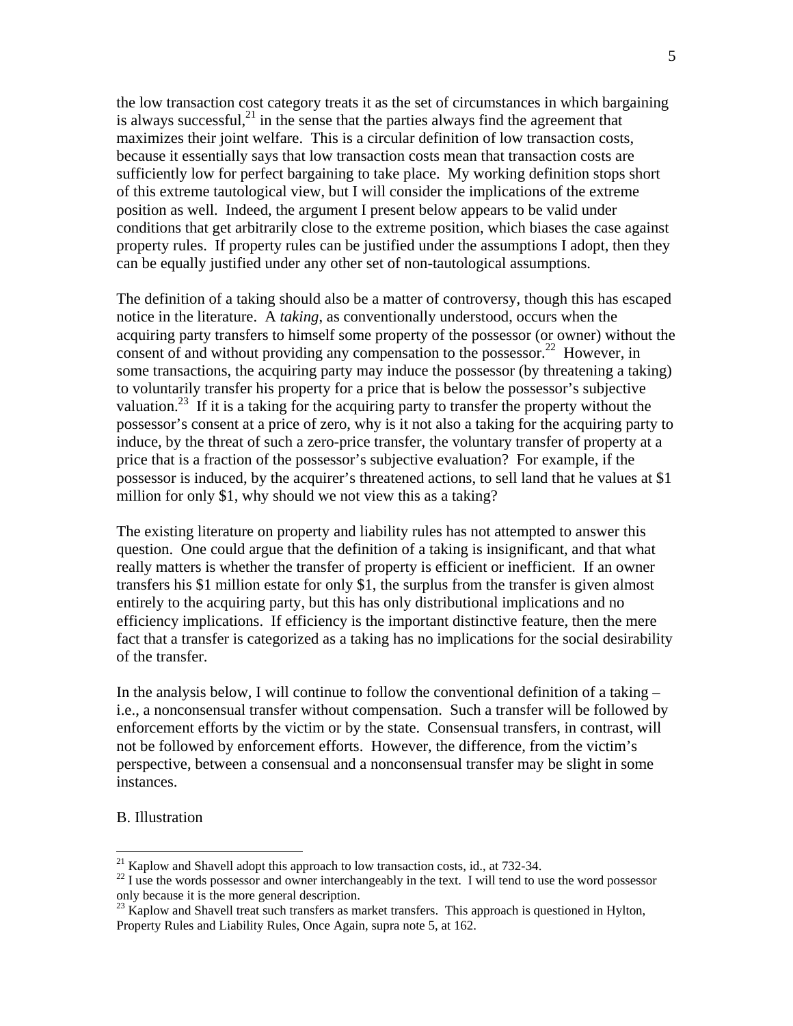the low transaction cost category treats it as the set of circumstances in which bargaining is always successful, $^{21}$  in the sense that the parties always find the agreement that maximizes their joint welfare. This is a circular definition of low transaction costs, because it essentially says that low transaction costs mean that transaction costs are sufficiently low for perfect bargaining to take place. My working definition stops short of this extreme tautological view, but I will consider the implications of the extreme position as well. Indeed, the argument I present below appears to be valid under conditions that get arbitrarily close to the extreme position, which biases the case against property rules. If property rules can be justified under the assumptions I adopt, then they can be equally justified under any other set of non-tautological assumptions.

The definition of a taking should also be a matter of controversy, though this has escaped notice in the literature. A *taking*, as conventionally understood, occurs when the acquiring party transfers to himself some property of the possessor (or owner) without the consent of and without providing any compensation to the possessor.<sup>22</sup> However, in some transactions, the acquiring party may induce the possessor (by threatening a taking) to voluntarily transfer his property for a price that is below the possessor's subjective valuation.<sup>23</sup> If it is a taking for the acquiring party to transfer the property without the possessor's consent at a price of zero, why is it not also a taking for the acquiring party to induce, by the threat of such a zero-price transfer, the voluntary transfer of property at a price that is a fraction of the possessor's subjective evaluation? For example, if the possessor is induced, by the acquirer's threatened actions, to sell land that he values at \$1 million for only \$1, why should we not view this as a taking?

The existing literature on property and liability rules has not attempted to answer this question. One could argue that the definition of a taking is insignificant, and that what really matters is whether the transfer of property is efficient or inefficient. If an owner transfers his \$1 million estate for only \$1, the surplus from the transfer is given almost entirely to the acquiring party, but this has only distributional implications and no efficiency implications. If efficiency is the important distinctive feature, then the mere fact that a transfer is categorized as a taking has no implications for the social desirability of the transfer.

In the analysis below, I will continue to follow the conventional definition of a taking – i.e., a nonconsensual transfer without compensation. Such a transfer will be followed by enforcement efforts by the victim or by the state. Consensual transfers, in contrast, will not be followed by enforcement efforts. However, the difference, from the victim's perspective, between a consensual and a nonconsensual transfer may be slight in some instances.

#### B. Illustration

1

 $21$  Kaplow and Shavell adopt this approach to low transaction costs, id., at 732-34.

 $22$  I use the words possessor and owner interchangeably in the text. I will tend to use the word possessor only because it is the more general description.

 $^{23}$  Kaplow and Shavell treat such transfers as market transfers. This approach is questioned in Hylton, Property Rules and Liability Rules, Once Again, supra note 5, at 162.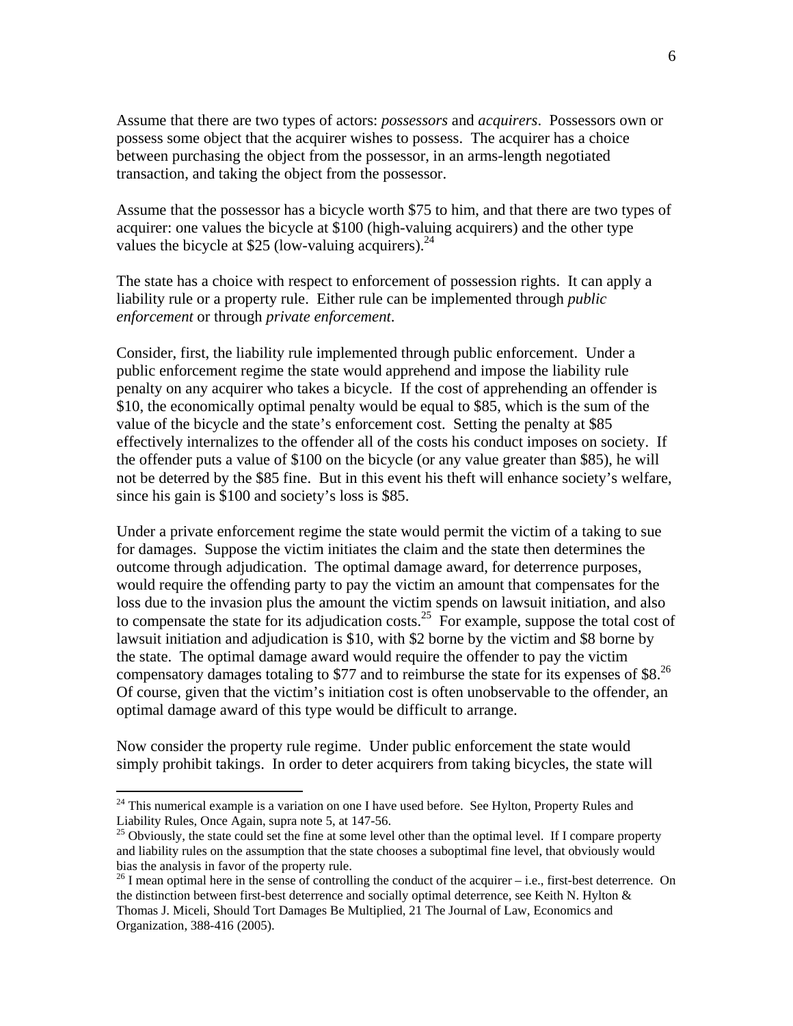Assume that there are two types of actors: *possessors* and *acquirers*. Possessors own or possess some object that the acquirer wishes to possess. The acquirer has a choice between purchasing the object from the possessor, in an arms-length negotiated transaction, and taking the object from the possessor.

Assume that the possessor has a bicycle worth \$75 to him, and that there are two types of acquirer: one values the bicycle at \$100 (high-valuing acquirers) and the other type values the bicycle at \$25 (low-valuing acquirers).  $24$ 

The state has a choice with respect to enforcement of possession rights. It can apply a liability rule or a property rule. Either rule can be implemented through *public enforcement* or through *private enforcement*.

Consider, first, the liability rule implemented through public enforcement. Under a public enforcement regime the state would apprehend and impose the liability rule penalty on any acquirer who takes a bicycle. If the cost of apprehending an offender is \$10, the economically optimal penalty would be equal to \$85, which is the sum of the value of the bicycle and the state's enforcement cost. Setting the penalty at \$85 effectively internalizes to the offender all of the costs his conduct imposes on society. If the offender puts a value of \$100 on the bicycle (or any value greater than \$85), he will not be deterred by the \$85 fine. But in this event his theft will enhance society's welfare, since his gain is \$100 and society's loss is \$85.

Under a private enforcement regime the state would permit the victim of a taking to sue for damages. Suppose the victim initiates the claim and the state then determines the outcome through adjudication. The optimal damage award, for deterrence purposes, would require the offending party to pay the victim an amount that compensates for the loss due to the invasion plus the amount the victim spends on lawsuit initiation, and also to compensate the state for its adjudication costs.<sup>25</sup> For example, suppose the total cost of lawsuit initiation and adjudication is \$10, with \$2 borne by the victim and \$8 borne by the state. The optimal damage award would require the offender to pay the victim compensatory damages totaling to \$77 and to reimburse the state for its expenses of \$8.26 Of course, given that the victim's initiation cost is often unobservable to the offender, an optimal damage award of this type would be difficult to arrange.

Now consider the property rule regime. Under public enforcement the state would simply prohibit takings. In order to deter acquirers from taking bicycles, the state will

<sup>&</sup>lt;sup>24</sup> This numerical example is a variation on one I have used before. See Hylton, Property Rules and Liability Rules, Once Again, supra note 5, at 147-56.

<sup>&</sup>lt;sup>25</sup> Obviously, the state could set the fine at some level other than the optimal level. If I compare property and liability rules on the assumption that the state chooses a suboptimal fine level, that obviously would bias the analysis in favor of the property rule.<br><sup>26</sup> I mean optimal here in the sense of controlling the conduct of the acquirer – i.e., first-best deterrence. On

the distinction between first-best deterrence and socially optimal deterrence, see Keith N. Hylton & Thomas J. Miceli, Should Tort Damages Be Multiplied, 21 The Journal of Law, Economics and Organization, 388-416 (2005).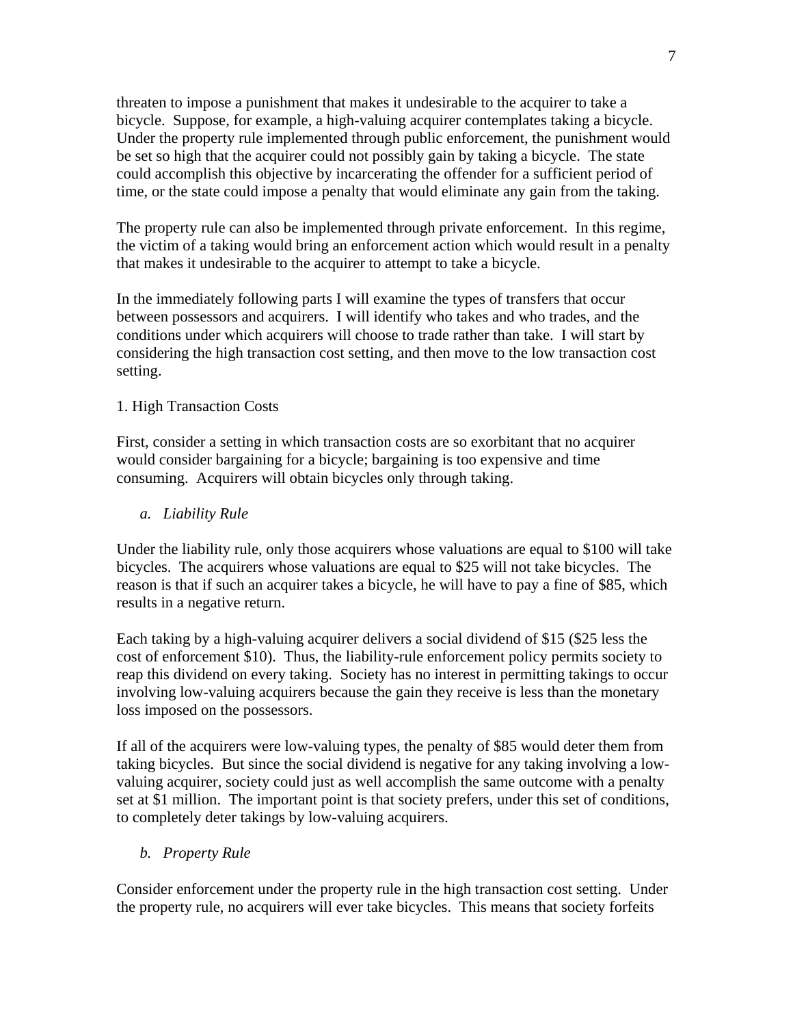threaten to impose a punishment that makes it undesirable to the acquirer to take a bicycle. Suppose, for example, a high-valuing acquirer contemplates taking a bicycle. Under the property rule implemented through public enforcement, the punishment would be set so high that the acquirer could not possibly gain by taking a bicycle. The state could accomplish this objective by incarcerating the offender for a sufficient period of time, or the state could impose a penalty that would eliminate any gain from the taking.

The property rule can also be implemented through private enforcement. In this regime, the victim of a taking would bring an enforcement action which would result in a penalty that makes it undesirable to the acquirer to attempt to take a bicycle.

In the immediately following parts I will examine the types of transfers that occur between possessors and acquirers. I will identify who takes and who trades, and the conditions under which acquirers will choose to trade rather than take. I will start by considering the high transaction cost setting, and then move to the low transaction cost setting.

## 1. High Transaction Costs

First, consider a setting in which transaction costs are so exorbitant that no acquirer would consider bargaining for a bicycle; bargaining is too expensive and time consuming. Acquirers will obtain bicycles only through taking.

## *a. Liability Rule*

Under the liability rule, only those acquirers whose valuations are equal to \$100 will take bicycles. The acquirers whose valuations are equal to \$25 will not take bicycles. The reason is that if such an acquirer takes a bicycle, he will have to pay a fine of \$85, which results in a negative return.

Each taking by a high-valuing acquirer delivers a social dividend of \$15 (\$25 less the cost of enforcement \$10). Thus, the liability-rule enforcement policy permits society to reap this dividend on every taking. Society has no interest in permitting takings to occur involving low-valuing acquirers because the gain they receive is less than the monetary loss imposed on the possessors.

If all of the acquirers were low-valuing types, the penalty of \$85 would deter them from taking bicycles. But since the social dividend is negative for any taking involving a lowvaluing acquirer, society could just as well accomplish the same outcome with a penalty set at \$1 million. The important point is that society prefers, under this set of conditions, to completely deter takings by low-valuing acquirers.

## *b. Property Rule*

Consider enforcement under the property rule in the high transaction cost setting. Under the property rule, no acquirers will ever take bicycles. This means that society forfeits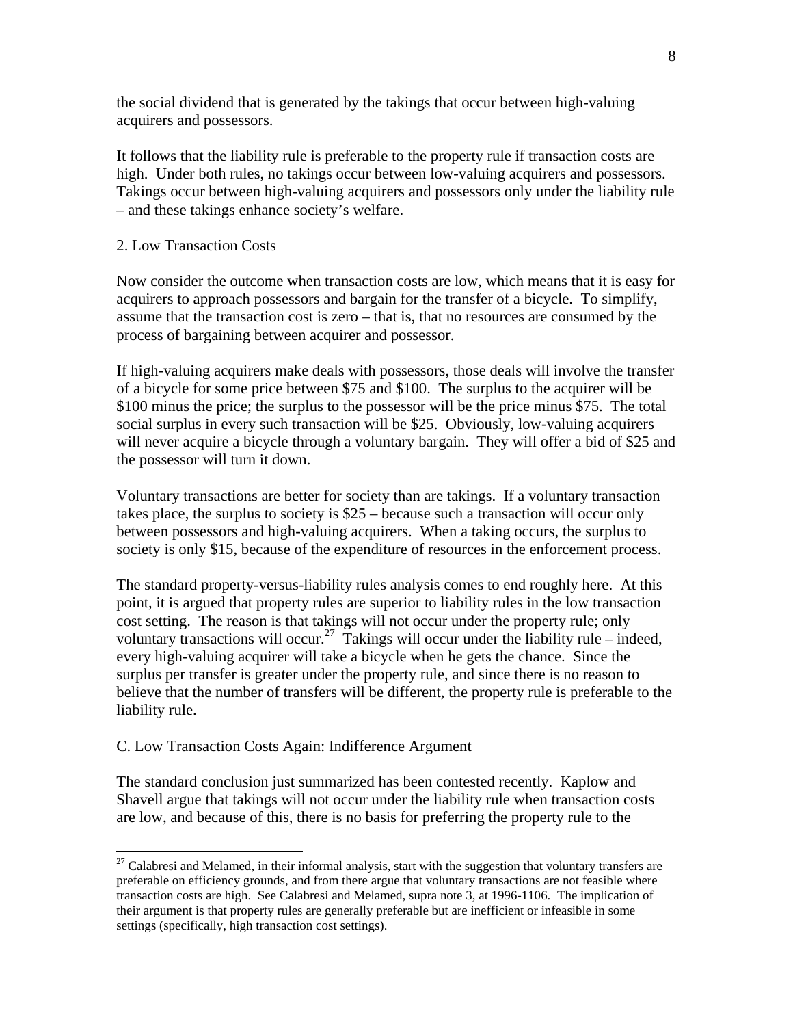the social dividend that is generated by the takings that occur between high-valuing acquirers and possessors.

It follows that the liability rule is preferable to the property rule if transaction costs are high. Under both rules, no takings occur between low-valuing acquirers and possessors. Takings occur between high-valuing acquirers and possessors only under the liability rule – and these takings enhance society's welfare.

#### 2. Low Transaction Costs

Now consider the outcome when transaction costs are low, which means that it is easy for acquirers to approach possessors and bargain for the transfer of a bicycle. To simplify, assume that the transaction cost is zero – that is, that no resources are consumed by the process of bargaining between acquirer and possessor.

If high-valuing acquirers make deals with possessors, those deals will involve the transfer of a bicycle for some price between \$75 and \$100. The surplus to the acquirer will be \$100 minus the price; the surplus to the possessor will be the price minus \$75. The total social surplus in every such transaction will be \$25. Obviously, low-valuing acquirers will never acquire a bicycle through a voluntary bargain. They will offer a bid of \$25 and the possessor will turn it down.

Voluntary transactions are better for society than are takings. If a voluntary transaction takes place, the surplus to society is \$25 – because such a transaction will occur only between possessors and high-valuing acquirers. When a taking occurs, the surplus to society is only \$15, because of the expenditure of resources in the enforcement process.

The standard property-versus-liability rules analysis comes to end roughly here. At this point, it is argued that property rules are superior to liability rules in the low transaction cost setting. The reason is that takings will not occur under the property rule; only voluntary transactions will occur.<sup>27</sup> Takings will occur under the liability rule – indeed, every high-valuing acquirer will take a bicycle when he gets the chance. Since the surplus per transfer is greater under the property rule, and since there is no reason to believe that the number of transfers will be different, the property rule is preferable to the liability rule.

#### C. Low Transaction Costs Again: Indifference Argument

 $\overline{a}$ 

The standard conclusion just summarized has been contested recently. Kaplow and Shavell argue that takings will not occur under the liability rule when transaction costs are low, and because of this, there is no basis for preferring the property rule to the

 $27$  Calabresi and Melamed, in their informal analysis, start with the suggestion that voluntary transfers are preferable on efficiency grounds, and from there argue that voluntary transactions are not feasible where transaction costs are high. See Calabresi and Melamed, supra note 3, at 1996-1106. The implication of their argument is that property rules are generally preferable but are inefficient or infeasible in some settings (specifically, high transaction cost settings).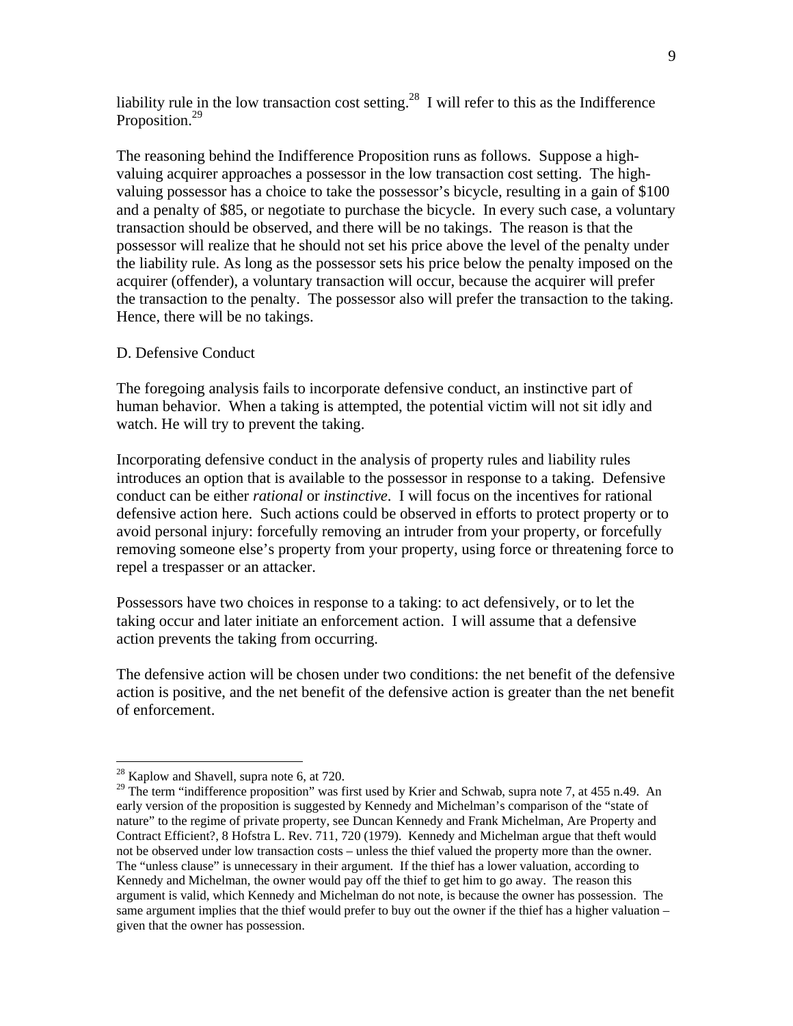liability rule in the low transaction cost setting.<sup>28</sup> I will refer to this as the Indifference Proposition.<sup>29</sup>

The reasoning behind the Indifference Proposition runs as follows. Suppose a highvaluing acquirer approaches a possessor in the low transaction cost setting. The highvaluing possessor has a choice to take the possessor's bicycle, resulting in a gain of \$100 and a penalty of \$85, or negotiate to purchase the bicycle. In every such case, a voluntary transaction should be observed, and there will be no takings. The reason is that the possessor will realize that he should not set his price above the level of the penalty under the liability rule. As long as the possessor sets his price below the penalty imposed on the acquirer (offender), a voluntary transaction will occur, because the acquirer will prefer the transaction to the penalty. The possessor also will prefer the transaction to the taking. Hence, there will be no takings.

## D. Defensive Conduct

The foregoing analysis fails to incorporate defensive conduct, an instinctive part of human behavior. When a taking is attempted, the potential victim will not sit idly and watch. He will try to prevent the taking.

Incorporating defensive conduct in the analysis of property rules and liability rules introduces an option that is available to the possessor in response to a taking. Defensive conduct can be either *rational* or *instinctive*. I will focus on the incentives for rational defensive action here. Such actions could be observed in efforts to protect property or to avoid personal injury: forcefully removing an intruder from your property, or forcefully removing someone else's property from your property, using force or threatening force to repel a trespasser or an attacker.

Possessors have two choices in response to a taking: to act defensively, or to let the taking occur and later initiate an enforcement action. I will assume that a defensive action prevents the taking from occurring.

The defensive action will be chosen under two conditions: the net benefit of the defensive action is positive, and the net benefit of the defensive action is greater than the net benefit of enforcement.

1

 $28$  Kaplow and Shavell, supra note 6, at 720.

<sup>&</sup>lt;sup>29</sup> The term "indifference proposition" was first used by Krier and Schwab, supra note 7, at 455 n.49. An early version of the proposition is suggested by Kennedy and Michelman's comparison of the "state of nature" to the regime of private property, see Duncan Kennedy and Frank Michelman, Are Property and Contract Efficient?, 8 Hofstra L. Rev. 711, 720 (1979). Kennedy and Michelman argue that theft would not be observed under low transaction costs – unless the thief valued the property more than the owner. The "unless clause" is unnecessary in their argument. If the thief has a lower valuation, according to Kennedy and Michelman, the owner would pay off the thief to get him to go away. The reason this argument is valid, which Kennedy and Michelman do not note, is because the owner has possession. The same argument implies that the thief would prefer to buy out the owner if the thief has a higher valuation – given that the owner has possession.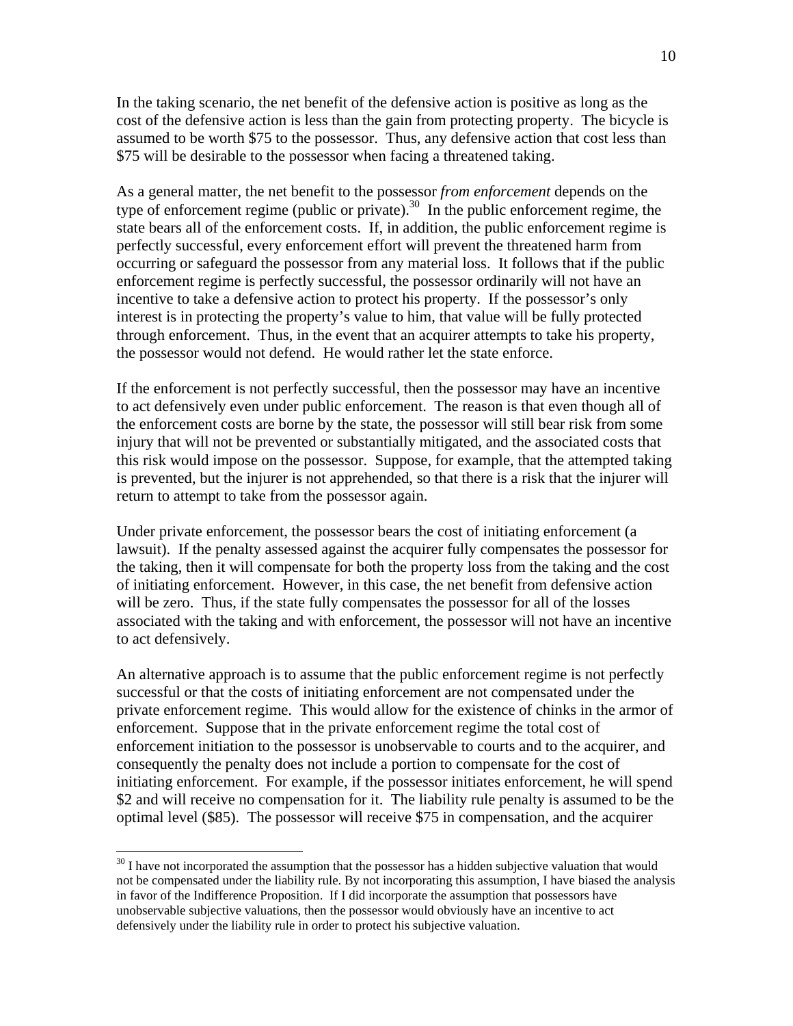In the taking scenario, the net benefit of the defensive action is positive as long as the cost of the defensive action is less than the gain from protecting property. The bicycle is assumed to be worth \$75 to the possessor. Thus, any defensive action that cost less than \$75 will be desirable to the possessor when facing a threatened taking.

As a general matter, the net benefit to the possessor *from enforcement* depends on the type of enforcement regime (public or private).<sup>30</sup> In the public enforcement regime, the state bears all of the enforcement costs. If, in addition, the public enforcement regime is perfectly successful, every enforcement effort will prevent the threatened harm from occurring or safeguard the possessor from any material loss. It follows that if the public enforcement regime is perfectly successful, the possessor ordinarily will not have an incentive to take a defensive action to protect his property. If the possessor's only interest is in protecting the property's value to him, that value will be fully protected through enforcement. Thus, in the event that an acquirer attempts to take his property, the possessor would not defend. He would rather let the state enforce.

If the enforcement is not perfectly successful, then the possessor may have an incentive to act defensively even under public enforcement. The reason is that even though all of the enforcement costs are borne by the state, the possessor will still bear risk from some injury that will not be prevented or substantially mitigated, and the associated costs that this risk would impose on the possessor. Suppose, for example, that the attempted taking is prevented, but the injurer is not apprehended, so that there is a risk that the injurer will return to attempt to take from the possessor again.

Under private enforcement, the possessor bears the cost of initiating enforcement (a lawsuit). If the penalty assessed against the acquirer fully compensates the possessor for the taking, then it will compensate for both the property loss from the taking and the cost of initiating enforcement. However, in this case, the net benefit from defensive action will be zero. Thus, if the state fully compensates the possessor for all of the losses associated with the taking and with enforcement, the possessor will not have an incentive to act defensively.

An alternative approach is to assume that the public enforcement regime is not perfectly successful or that the costs of initiating enforcement are not compensated under the private enforcement regime. This would allow for the existence of chinks in the armor of enforcement. Suppose that in the private enforcement regime the total cost of enforcement initiation to the possessor is unobservable to courts and to the acquirer, and consequently the penalty does not include a portion to compensate for the cost of initiating enforcement. For example, if the possessor initiates enforcement, he will spend \$2 and will receive no compensation for it. The liability rule penalty is assumed to be the optimal level (\$85). The possessor will receive \$75 in compensation, and the acquirer

<sup>&</sup>lt;sup>30</sup> I have not incorporated the assumption that the possessor has a hidden subjective valuation that would not be compensated under the liability rule. By not incorporating this assumption, I have biased the analysis in favor of the Indifference Proposition. If I did incorporate the assumption that possessors have unobservable subjective valuations, then the possessor would obviously have an incentive to act defensively under the liability rule in order to protect his subjective valuation.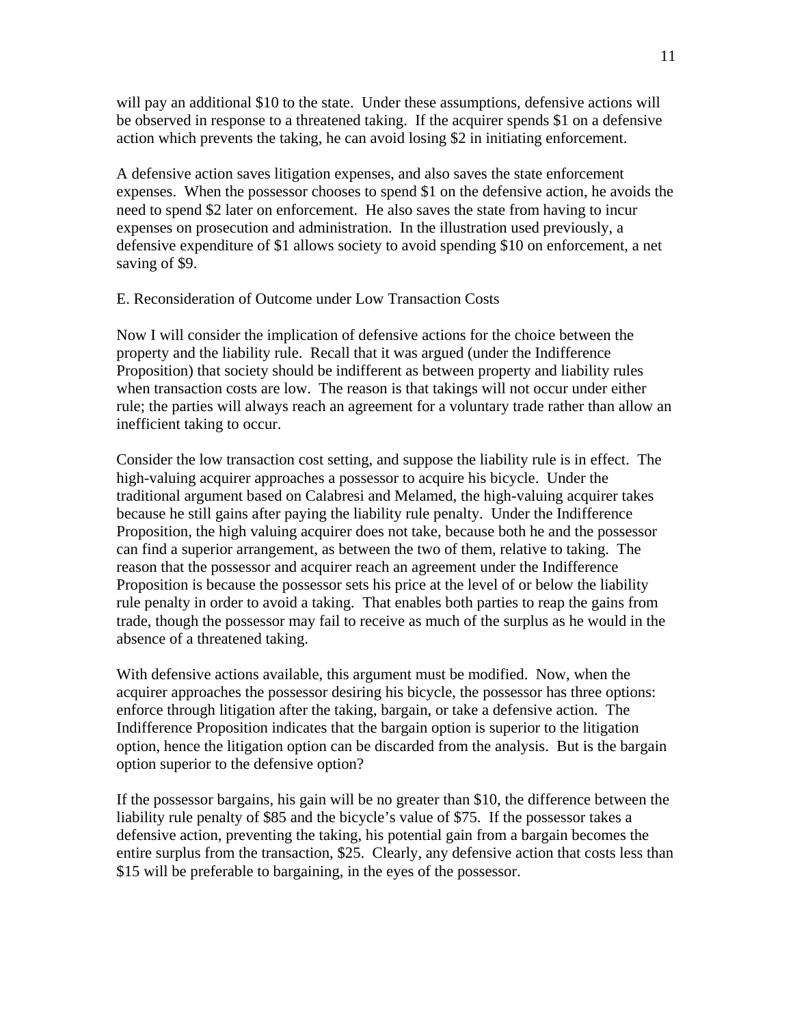will pay an additional \$10 to the state. Under these assumptions, defensive actions will be observed in response to a threatened taking. If the acquirer spends \$1 on a defensive action which prevents the taking, he can avoid losing \$2 in initiating enforcement.

A defensive action saves litigation expenses, and also saves the state enforcement expenses. When the possessor chooses to spend \$1 on the defensive action, he avoids the need to spend \$2 later on enforcement. He also saves the state from having to incur expenses on prosecution and administration. In the illustration used previously, a defensive expenditure of \$1 allows society to avoid spending \$10 on enforcement, a net saving of \$9.

## E. Reconsideration of Outcome under Low Transaction Costs

Now I will consider the implication of defensive actions for the choice between the property and the liability rule. Recall that it was argued (under the Indifference Proposition) that society should be indifferent as between property and liability rules when transaction costs are low. The reason is that takings will not occur under either rule; the parties will always reach an agreement for a voluntary trade rather than allow an inefficient taking to occur.

Consider the low transaction cost setting, and suppose the liability rule is in effect. The high-valuing acquirer approaches a possessor to acquire his bicycle. Under the traditional argument based on Calabresi and Melamed, the high-valuing acquirer takes because he still gains after paying the liability rule penalty. Under the Indifference Proposition, the high valuing acquirer does not take, because both he and the possessor can find a superior arrangement, as between the two of them, relative to taking. The reason that the possessor and acquirer reach an agreement under the Indifference Proposition is because the possessor sets his price at the level of or below the liability rule penalty in order to avoid a taking. That enables both parties to reap the gains from trade, though the possessor may fail to receive as much of the surplus as he would in the absence of a threatened taking.

With defensive actions available, this argument must be modified. Now, when the acquirer approaches the possessor desiring his bicycle, the possessor has three options: enforce through litigation after the taking, bargain, or take a defensive action. The Indifference Proposition indicates that the bargain option is superior to the litigation option, hence the litigation option can be discarded from the analysis. But is the bargain option superior to the defensive option?

If the possessor bargains, his gain will be no greater than \$10, the difference between the liability rule penalty of \$85 and the bicycle's value of \$75. If the possessor takes a defensive action, preventing the taking, his potential gain from a bargain becomes the entire surplus from the transaction, \$25. Clearly, any defensive action that costs less than \$15 will be preferable to bargaining, in the eyes of the possessor.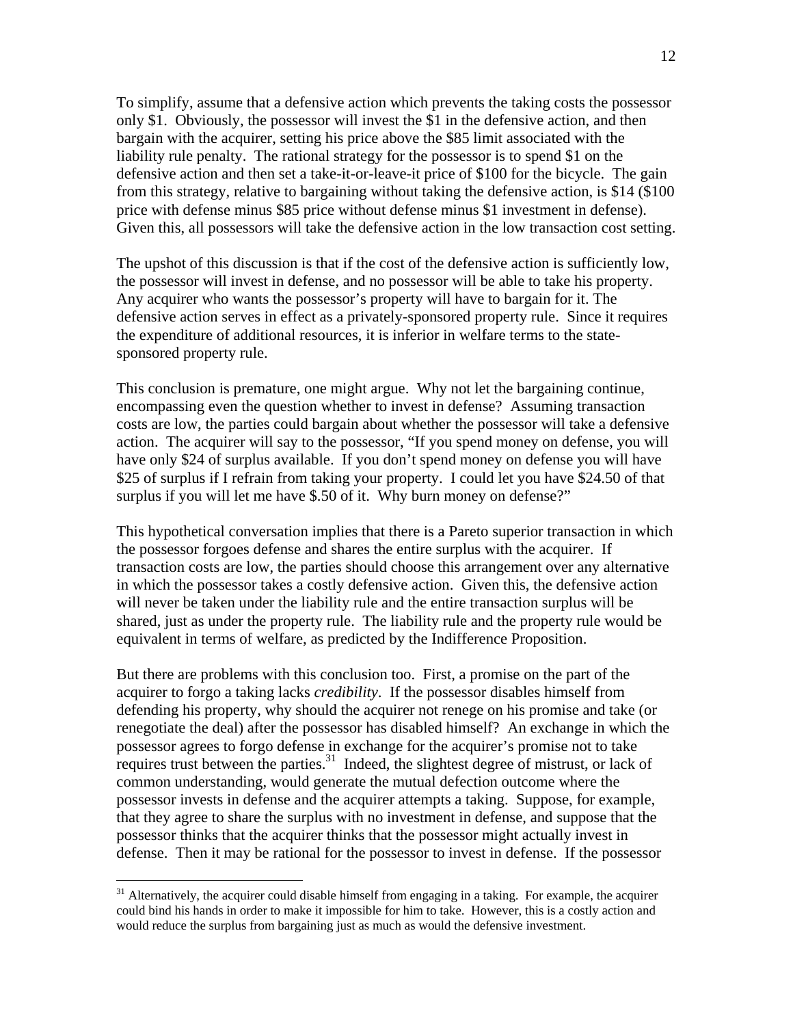To simplify, assume that a defensive action which prevents the taking costs the possessor only \$1. Obviously, the possessor will invest the \$1 in the defensive action, and then bargain with the acquirer, setting his price above the \$85 limit associated with the liability rule penalty. The rational strategy for the possessor is to spend \$1 on the defensive action and then set a take-it-or-leave-it price of \$100 for the bicycle. The gain from this strategy, relative to bargaining without taking the defensive action, is \$14 (\$100 price with defense minus \$85 price without defense minus \$1 investment in defense). Given this, all possessors will take the defensive action in the low transaction cost setting.

The upshot of this discussion is that if the cost of the defensive action is sufficiently low, the possessor will invest in defense, and no possessor will be able to take his property. Any acquirer who wants the possessor's property will have to bargain for it. The defensive action serves in effect as a privately-sponsored property rule. Since it requires the expenditure of additional resources, it is inferior in welfare terms to the statesponsored property rule.

This conclusion is premature, one might argue. Why not let the bargaining continue, encompassing even the question whether to invest in defense? Assuming transaction costs are low, the parties could bargain about whether the possessor will take a defensive action. The acquirer will say to the possessor, "If you spend money on defense, you will have only \$24 of surplus available. If you don't spend money on defense you will have \$25 of surplus if I refrain from taking your property. I could let you have \$24.50 of that surplus if you will let me have \$.50 of it. Why burn money on defense?"

This hypothetical conversation implies that there is a Pareto superior transaction in which the possessor forgoes defense and shares the entire surplus with the acquirer. If transaction costs are low, the parties should choose this arrangement over any alternative in which the possessor takes a costly defensive action. Given this, the defensive action will never be taken under the liability rule and the entire transaction surplus will be shared, just as under the property rule. The liability rule and the property rule would be equivalent in terms of welfare, as predicted by the Indifference Proposition.

But there are problems with this conclusion too. First, a promise on the part of the acquirer to forgo a taking lacks *credibility*. If the possessor disables himself from defending his property, why should the acquirer not renege on his promise and take (or renegotiate the deal) after the possessor has disabled himself? An exchange in which the possessor agrees to forgo defense in exchange for the acquirer's promise not to take requires trust between the parties.<sup>31</sup> Indeed, the slightest degree of mistrust, or lack of common understanding, would generate the mutual defection outcome where the possessor invests in defense and the acquirer attempts a taking. Suppose, for example, that they agree to share the surplus with no investment in defense, and suppose that the possessor thinks that the acquirer thinks that the possessor might actually invest in defense. Then it may be rational for the possessor to invest in defense. If the possessor

<sup>&</sup>lt;sup>31</sup> Alternatively, the acquirer could disable himself from engaging in a taking. For example, the acquirer could bind his hands in order to make it impossible for him to take. However, this is a costly action and would reduce the surplus from bargaining just as much as would the defensive investment.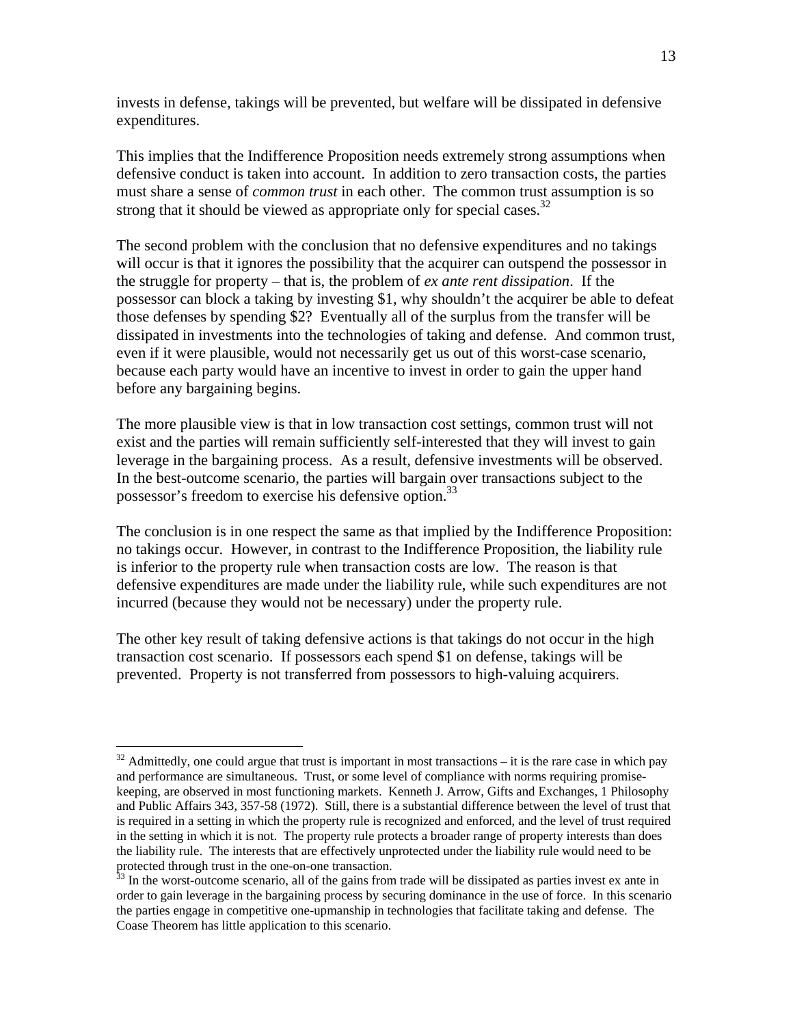invests in defense, takings will be prevented, but welfare will be dissipated in defensive expenditures.

This implies that the Indifference Proposition needs extremely strong assumptions when defensive conduct is taken into account. In addition to zero transaction costs, the parties must share a sense of *common trust* in each other. The common trust assumption is so strong that it should be viewed as appropriate only for special cases.<sup>32</sup>

The second problem with the conclusion that no defensive expenditures and no takings will occur is that it ignores the possibility that the acquirer can outspend the possessor in the struggle for property – that is, the problem of *ex ante rent dissipation*. If the possessor can block a taking by investing \$1, why shouldn't the acquirer be able to defeat those defenses by spending \$2? Eventually all of the surplus from the transfer will be dissipated in investments into the technologies of taking and defense. And common trust, even if it were plausible, would not necessarily get us out of this worst-case scenario, because each party would have an incentive to invest in order to gain the upper hand before any bargaining begins.

The more plausible view is that in low transaction cost settings, common trust will not exist and the parties will remain sufficiently self-interested that they will invest to gain leverage in the bargaining process. As a result, defensive investments will be observed. In the best-outcome scenario, the parties will bargain over transactions subject to the possessor's freedom to exercise his defensive option.<sup>33</sup>

The conclusion is in one respect the same as that implied by the Indifference Proposition: no takings occur. However, in contrast to the Indifference Proposition, the liability rule is inferior to the property rule when transaction costs are low. The reason is that defensive expenditures are made under the liability rule, while such expenditures are not incurred (because they would not be necessary) under the property rule.

The other key result of taking defensive actions is that takings do not occur in the high transaction cost scenario. If possessors each spend \$1 on defense, takings will be prevented. Property is not transferred from possessors to high-valuing acquirers.

 $32$  Admittedly, one could argue that trust is important in most transactions – it is the rare case in which pay and performance are simultaneous. Trust, or some level of compliance with norms requiring promisekeeping, are observed in most functioning markets. Kenneth J. Arrow, Gifts and Exchanges, 1 Philosophy and Public Affairs 343, 357-58 (1972). Still, there is a substantial difference between the level of trust that is required in a setting in which the property rule is recognized and enforced, and the level of trust required in the setting in which it is not. The property rule protects a broader range of property interests than does the liability rule. The interests that are effectively unprotected under the liability rule would need to be protected through trust in the one-on-one transaction.<br><sup>33</sup> In the worst-outcome scenario, all of the gains from trade will be dissipated as parties invest ex ante in

order to gain leverage in the bargaining process by securing dominance in the use of force. In this scenario the parties engage in competitive one-upmanship in technologies that facilitate taking and defense. The Coase Theorem has little application to this scenario.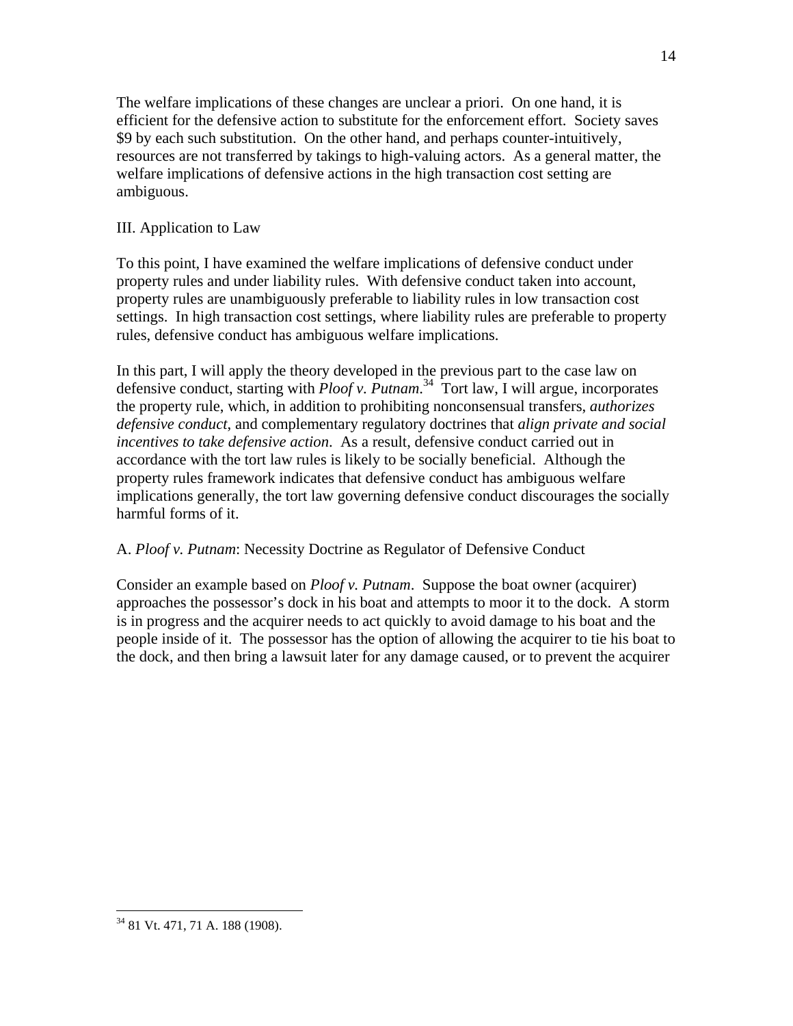The welfare implications of these changes are unclear a priori. On one hand, it is efficient for the defensive action to substitute for the enforcement effort. Society saves \$9 by each such substitution. On the other hand, and perhaps counter-intuitively, resources are not transferred by takings to high-valuing actors. As a general matter, the welfare implications of defensive actions in the high transaction cost setting are ambiguous.

## III. Application to Law

To this point, I have examined the welfare implications of defensive conduct under property rules and under liability rules. With defensive conduct taken into account, property rules are unambiguously preferable to liability rules in low transaction cost settings. In high transaction cost settings, where liability rules are preferable to property rules, defensive conduct has ambiguous welfare implications.

In this part, I will apply the theory developed in the previous part to the case law on defensive conduct, starting with *Ploof v. Putnam*. 34 Tort law, I will argue, incorporates the property rule, which, in addition to prohibiting nonconsensual transfers, *authorizes defensive conduct*, and complementary regulatory doctrines that *align private and social incentives to take defensive action*. As a result, defensive conduct carried out in accordance with the tort law rules is likely to be socially beneficial. Although the property rules framework indicates that defensive conduct has ambiguous welfare implications generally, the tort law governing defensive conduct discourages the socially harmful forms of it.

## A. *Ploof v. Putnam*: Necessity Doctrine as Regulator of Defensive Conduct

Consider an example based on *Ploof v. Putnam*. Suppose the boat owner (acquirer) approaches the possessor's dock in his boat and attempts to moor it to the dock. A storm is in progress and the acquirer needs to act quickly to avoid damage to his boat and the people inside of it. The possessor has the option of allowing the acquirer to tie his boat to the dock, and then bring a lawsuit later for any damage caused, or to prevent the acquirer

<u>.</u>

<sup>34 81</sup> Vt. 471, 71 A. 188 (1908).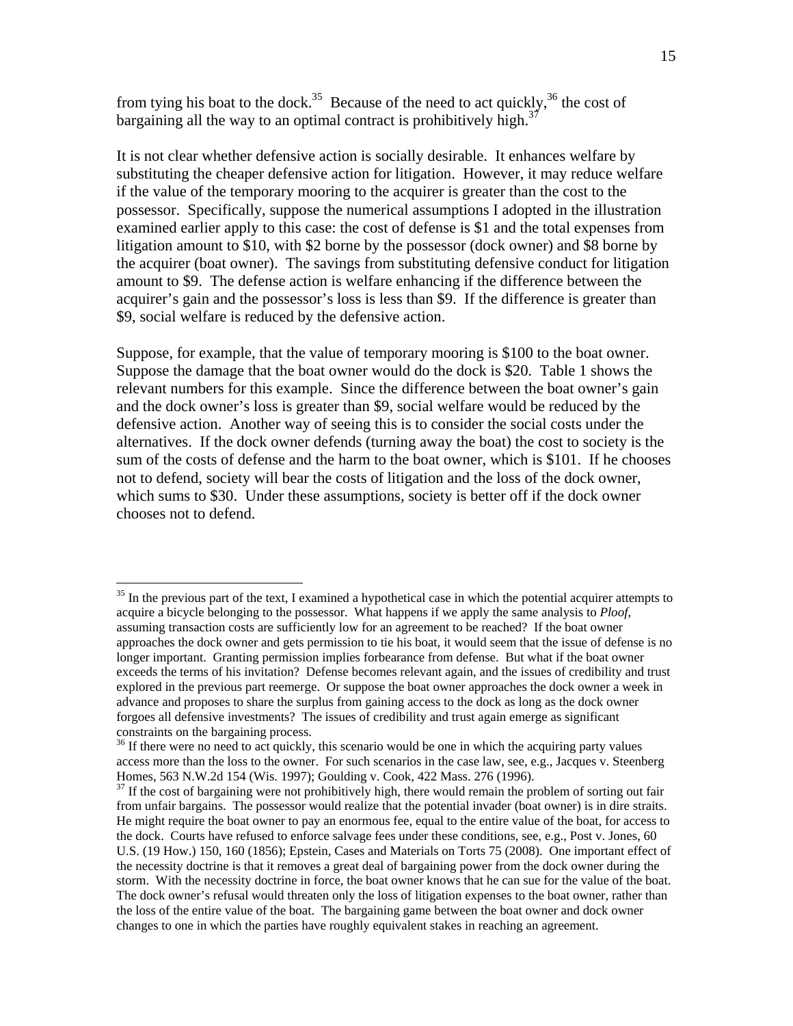from tying his boat to the dock.<sup>35</sup> Because of the need to act quickly,<sup>36</sup> the cost of bargaining all the way to an optimal contract is prohibitively high.<sup>37</sup>

It is not clear whether defensive action is socially desirable. It enhances welfare by substituting the cheaper defensive action for litigation. However, it may reduce welfare if the value of the temporary mooring to the acquirer is greater than the cost to the possessor. Specifically, suppose the numerical assumptions I adopted in the illustration examined earlier apply to this case: the cost of defense is \$1 and the total expenses from litigation amount to \$10, with \$2 borne by the possessor (dock owner) and \$8 borne by the acquirer (boat owner). The savings from substituting defensive conduct for litigation amount to \$9. The defense action is welfare enhancing if the difference between the acquirer's gain and the possessor's loss is less than \$9. If the difference is greater than \$9, social welfare is reduced by the defensive action.

Suppose, for example, that the value of temporary mooring is \$100 to the boat owner. Suppose the damage that the boat owner would do the dock is \$20. Table 1 shows the relevant numbers for this example. Since the difference between the boat owner's gain and the dock owner's loss is greater than \$9, social welfare would be reduced by the defensive action. Another way of seeing this is to consider the social costs under the alternatives. If the dock owner defends (turning away the boat) the cost to society is the sum of the costs of defense and the harm to the boat owner, which is \$101. If he chooses not to defend, society will bear the costs of litigation and the loss of the dock owner, which sums to \$30. Under these assumptions, society is better off if the dock owner chooses not to defend.

 $35$  In the previous part of the text, I examined a hypothetical case in which the potential acquirer attempts to acquire a bicycle belonging to the possessor. What happens if we apply the same analysis to *Ploof*, assuming transaction costs are sufficiently low for an agreement to be reached? If the boat owner approaches the dock owner and gets permission to tie his boat, it would seem that the issue of defense is no longer important. Granting permission implies forbearance from defense. But what if the boat owner exceeds the terms of his invitation? Defense becomes relevant again, and the issues of credibility and trust explored in the previous part reemerge. Or suppose the boat owner approaches the dock owner a week in advance and proposes to share the surplus from gaining access to the dock as long as the dock owner forgoes all defensive investments? The issues of credibility and trust again emerge as significant constraints on the bargaining process.

<sup>&</sup>lt;sup>36</sup> If there were no need to act quickly, this scenario would be one in which the acquiring party values access more than the loss to the owner. For such scenarios in the case law, see, e.g., Jacques v. Steenberg Homes, 563 N.W.2d 154 (Wis. 1997); Goulding v. Cook, 422 Mass. 276 (1996).

 $37$  If the cost of bargaining were not prohibitively high, there would remain the problem of sorting out fair from unfair bargains. The possessor would realize that the potential invader (boat owner) is in dire straits. He might require the boat owner to pay an enormous fee, equal to the entire value of the boat, for access to the dock. Courts have refused to enforce salvage fees under these conditions, see, e.g., Post v. Jones, 60 U.S. (19 How.) 150, 160 (1856); Epstein, Cases and Materials on Torts 75 (2008). One important effect of the necessity doctrine is that it removes a great deal of bargaining power from the dock owner during the storm. With the necessity doctrine in force, the boat owner knows that he can sue for the value of the boat. The dock owner's refusal would threaten only the loss of litigation expenses to the boat owner, rather than the loss of the entire value of the boat. The bargaining game between the boat owner and dock owner changes to one in which the parties have roughly equivalent stakes in reaching an agreement.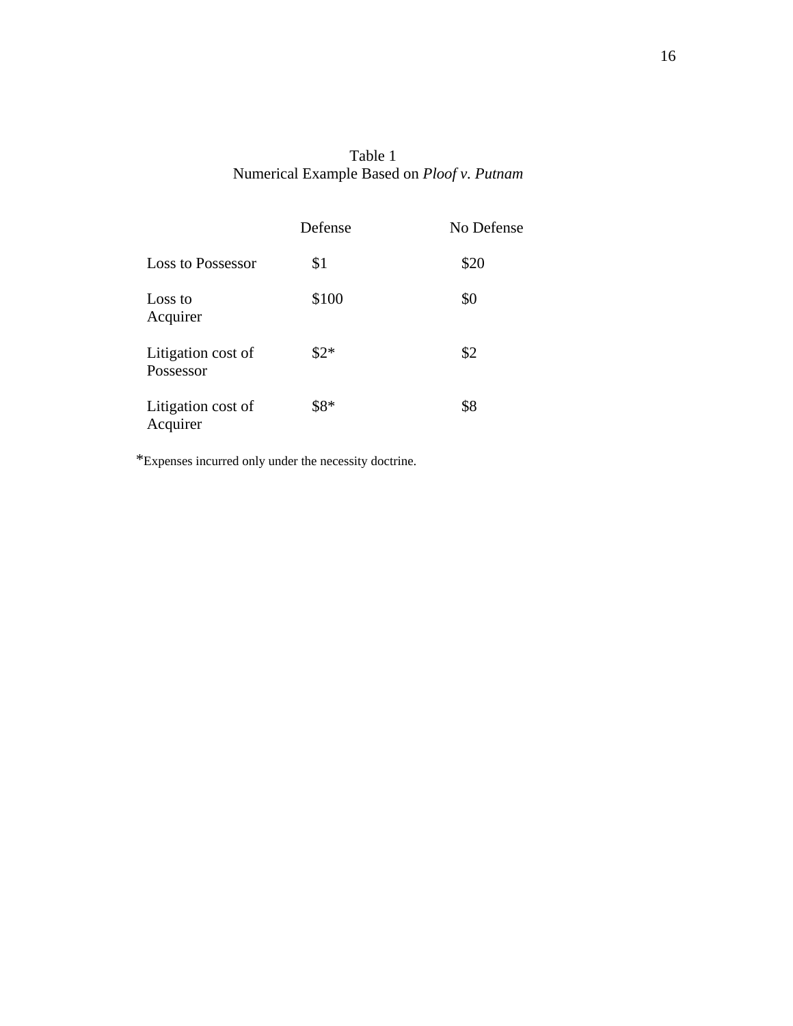| Table 1                                           |  |
|---------------------------------------------------|--|
| Numerical Example Based on <i>Ploof v. Putnam</i> |  |

|                                 | Defense | No Defense |
|---------------------------------|---------|------------|
| <b>Loss to Possessor</b>        | \$1     | \$20       |
| Loss to<br>Acquirer             | \$100   | \$0        |
| Litigation cost of<br>Possessor | $$2*$   | \$2        |
| Litigation cost of<br>Acquirer  | \$8*    | \$8        |

\*Expenses incurred only under the necessity doctrine.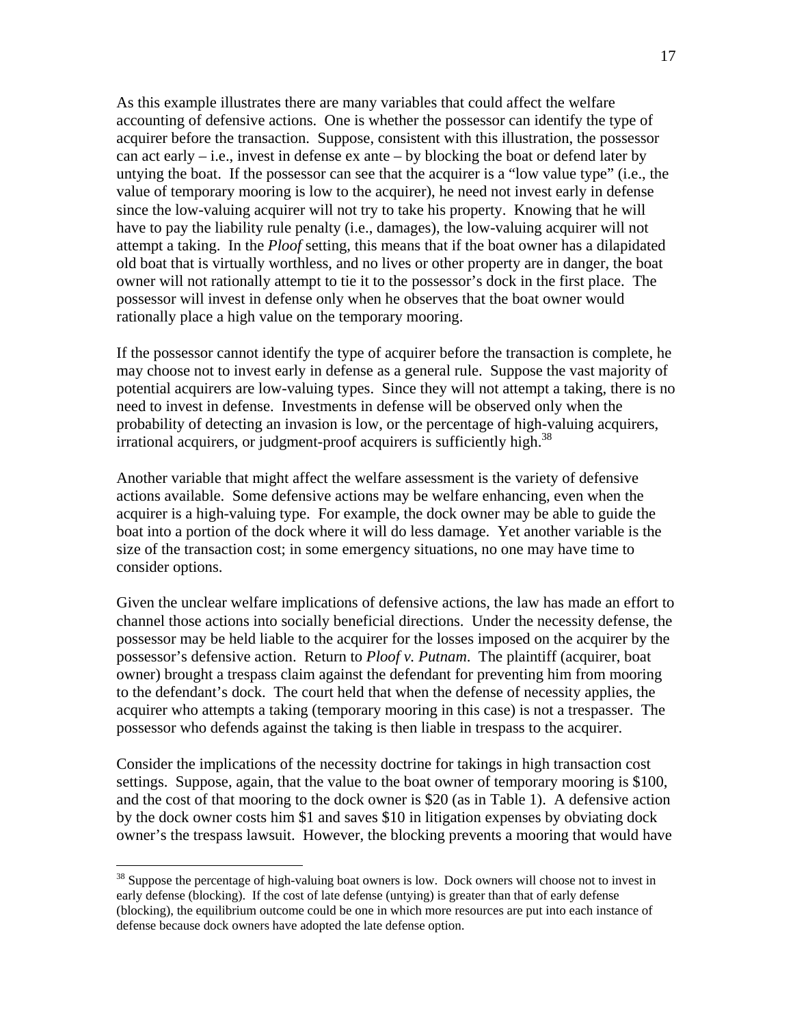As this example illustrates there are many variables that could affect the welfare accounting of defensive actions. One is whether the possessor can identify the type of acquirer before the transaction. Suppose, consistent with this illustration, the possessor can act early  $-i.e.,$  invest in defense ex ante – by blocking the boat or defend later by untying the boat. If the possessor can see that the acquirer is a "low value type" (i.e., the value of temporary mooring is low to the acquirer), he need not invest early in defense since the low-valuing acquirer will not try to take his property. Knowing that he will have to pay the liability rule penalty (i.e., damages), the low-valuing acquirer will not attempt a taking. In the *Ploof* setting, this means that if the boat owner has a dilapidated old boat that is virtually worthless, and no lives or other property are in danger, the boat owner will not rationally attempt to tie it to the possessor's dock in the first place. The possessor will invest in defense only when he observes that the boat owner would rationally place a high value on the temporary mooring.

If the possessor cannot identify the type of acquirer before the transaction is complete, he may choose not to invest early in defense as a general rule. Suppose the vast majority of potential acquirers are low-valuing types. Since they will not attempt a taking, there is no need to invest in defense. Investments in defense will be observed only when the probability of detecting an invasion is low, or the percentage of high-valuing acquirers, irrational acquirers, or judgment-proof acquirers is sufficiently high.<sup>38</sup>

Another variable that might affect the welfare assessment is the variety of defensive actions available. Some defensive actions may be welfare enhancing, even when the acquirer is a high-valuing type. For example, the dock owner may be able to guide the boat into a portion of the dock where it will do less damage. Yet another variable is the size of the transaction cost; in some emergency situations, no one may have time to consider options.

Given the unclear welfare implications of defensive actions, the law has made an effort to channel those actions into socially beneficial directions. Under the necessity defense, the possessor may be held liable to the acquirer for the losses imposed on the acquirer by the possessor's defensive action. Return to *Ploof v. Putnam*. The plaintiff (acquirer, boat owner) brought a trespass claim against the defendant for preventing him from mooring to the defendant's dock. The court held that when the defense of necessity applies, the acquirer who attempts a taking (temporary mooring in this case) is not a trespasser. The possessor who defends against the taking is then liable in trespass to the acquirer.

Consider the implications of the necessity doctrine for takings in high transaction cost settings. Suppose, again, that the value to the boat owner of temporary mooring is \$100, and the cost of that mooring to the dock owner is \$20 (as in Table 1). A defensive action by the dock owner costs him \$1 and saves \$10 in litigation expenses by obviating dock owner's the trespass lawsuit. However, the blocking prevents a mooring that would have

<sup>&</sup>lt;sup>38</sup> Suppose the percentage of high-valuing boat owners is low. Dock owners will choose not to invest in early defense (blocking). If the cost of late defense (untying) is greater than that of early defense (blocking), the equilibrium outcome could be one in which more resources are put into each instance of defense because dock owners have adopted the late defense option.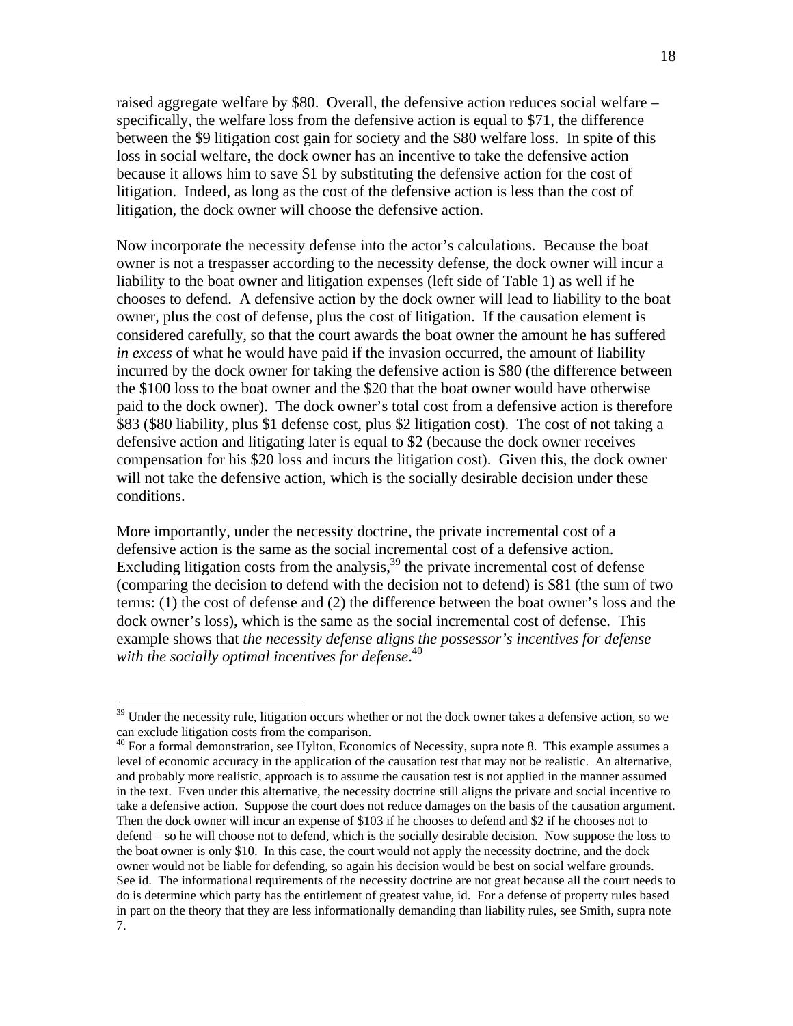raised aggregate welfare by \$80. Overall, the defensive action reduces social welfare – specifically, the welfare loss from the defensive action is equal to \$71, the difference between the \$9 litigation cost gain for society and the \$80 welfare loss. In spite of this loss in social welfare, the dock owner has an incentive to take the defensive action because it allows him to save \$1 by substituting the defensive action for the cost of litigation. Indeed, as long as the cost of the defensive action is less than the cost of litigation, the dock owner will choose the defensive action.

Now incorporate the necessity defense into the actor's calculations. Because the boat owner is not a trespasser according to the necessity defense, the dock owner will incur a liability to the boat owner and litigation expenses (left side of Table 1) as well if he chooses to defend. A defensive action by the dock owner will lead to liability to the boat owner, plus the cost of defense, plus the cost of litigation. If the causation element is considered carefully, so that the court awards the boat owner the amount he has suffered *in excess* of what he would have paid if the invasion occurred, the amount of liability incurred by the dock owner for taking the defensive action is \$80 (the difference between the \$100 loss to the boat owner and the \$20 that the boat owner would have otherwise paid to the dock owner). The dock owner's total cost from a defensive action is therefore \$83 (\$80 liability, plus \$1 defense cost, plus \$2 litigation cost). The cost of not taking a defensive action and litigating later is equal to \$2 (because the dock owner receives compensation for his \$20 loss and incurs the litigation cost). Given this, the dock owner will not take the defensive action, which is the socially desirable decision under these conditions.

More importantly, under the necessity doctrine, the private incremental cost of a defensive action is the same as the social incremental cost of a defensive action. Excluding litigation costs from the analysis, $39$  the private incremental cost of defense (comparing the decision to defend with the decision not to defend) is \$81 (the sum of two terms: (1) the cost of defense and (2) the difference between the boat owner's loss and the dock owner's loss), which is the same as the social incremental cost of defense. This example shows that *the necessity defense aligns the possessor's incentives for defense with the socially optimal incentives for defense*. 40

 $39$  Under the necessity rule, litigation occurs whether or not the dock owner takes a defensive action, so we can exclude litigation costs from the comparison.

<sup>&</sup>lt;sup>40</sup> For a formal demonstration, see Hylton, Economics of Necessity, supra note 8. This example assumes a level of economic accuracy in the application of the causation test that may not be realistic. An alternative, and probably more realistic, approach is to assume the causation test is not applied in the manner assumed in the text. Even under this alternative, the necessity doctrine still aligns the private and social incentive to take a defensive action. Suppose the court does not reduce damages on the basis of the causation argument. Then the dock owner will incur an expense of \$103 if he chooses to defend and \$2 if he chooses not to defend – so he will choose not to defend, which is the socially desirable decision. Now suppose the loss to the boat owner is only \$10. In this case, the court would not apply the necessity doctrine, and the dock owner would not be liable for defending, so again his decision would be best on social welfare grounds. See id. The informational requirements of the necessity doctrine are not great because all the court needs to do is determine which party has the entitlement of greatest value, id. For a defense of property rules based in part on the theory that they are less informationally demanding than liability rules, see Smith, supra note 7.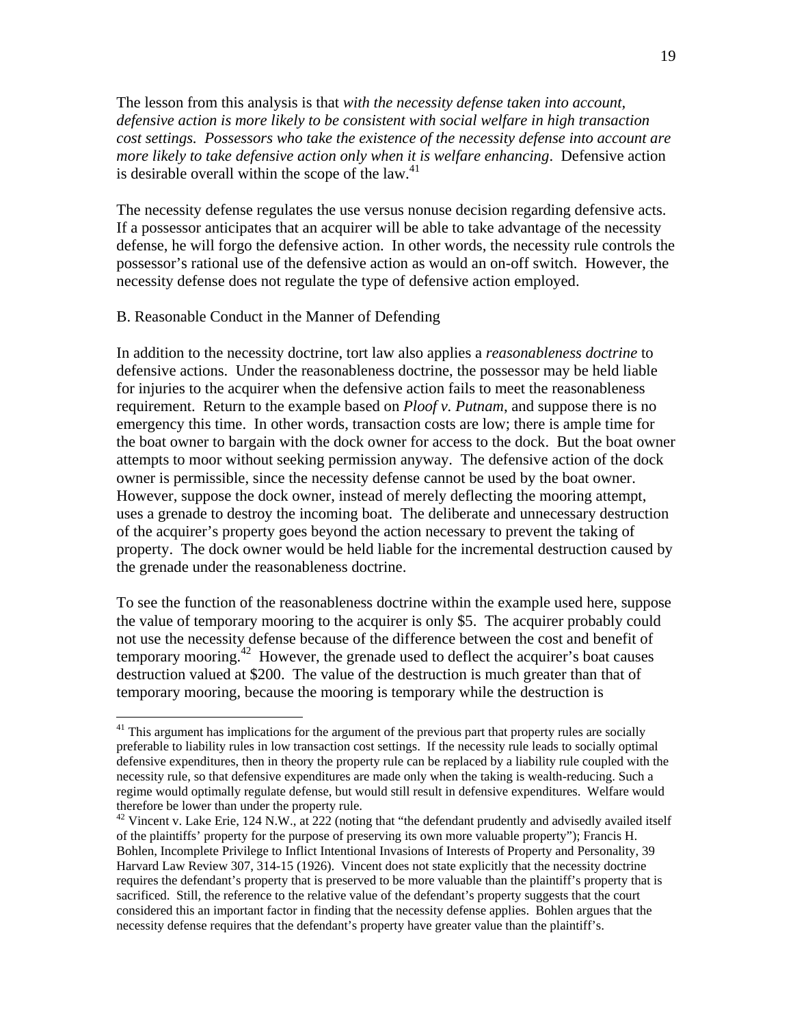The lesson from this analysis is that *with the necessity defense taken into account, defensive action is more likely to be consistent with social welfare in high transaction cost settings. Possessors who take the existence of the necessity defense into account are more likely to take defensive action only when it is welfare enhancing*. Defensive action is desirable overall within the scope of the  $law<sup>41</sup>$ .

The necessity defense regulates the use versus nonuse decision regarding defensive acts. If a possessor anticipates that an acquirer will be able to take advantage of the necessity defense, he will forgo the defensive action. In other words, the necessity rule controls the possessor's rational use of the defensive action as would an on-off switch. However, the necessity defense does not regulate the type of defensive action employed.

#### B. Reasonable Conduct in the Manner of Defending

1

In addition to the necessity doctrine, tort law also applies a *reasonableness doctrine* to defensive actions. Under the reasonableness doctrine, the possessor may be held liable for injuries to the acquirer when the defensive action fails to meet the reasonableness requirement. Return to the example based on *Ploof v. Putnam*, and suppose there is no emergency this time. In other words, transaction costs are low; there is ample time for the boat owner to bargain with the dock owner for access to the dock. But the boat owner attempts to moor without seeking permission anyway. The defensive action of the dock owner is permissible, since the necessity defense cannot be used by the boat owner. However, suppose the dock owner, instead of merely deflecting the mooring attempt, uses a grenade to destroy the incoming boat. The deliberate and unnecessary destruction of the acquirer's property goes beyond the action necessary to prevent the taking of property. The dock owner would be held liable for the incremental destruction caused by the grenade under the reasonableness doctrine.

To see the function of the reasonableness doctrine within the example used here, suppose the value of temporary mooring to the acquirer is only \$5. The acquirer probably could not use the necessity defense because of the difference between the cost and benefit of temporary mooring.<sup>42</sup> However, the grenade used to deflect the acquirer's boat causes destruction valued at \$200. The value of the destruction is much greater than that of temporary mooring, because the mooring is temporary while the destruction is

<sup>&</sup>lt;sup>41</sup> This argument has implications for the argument of the previous part that property rules are socially preferable to liability rules in low transaction cost settings. If the necessity rule leads to socially optimal defensive expenditures, then in theory the property rule can be replaced by a liability rule coupled with the necessity rule, so that defensive expenditures are made only when the taking is wealth-reducing. Such a regime would optimally regulate defense, but would still result in defensive expenditures. Welfare would therefore be lower than under the property rule.

<sup>&</sup>lt;sup>42</sup> Vincent v. Lake Erie, 124 N.W., at 222 (noting that "the defendant prudently and advisedly availed itself of the plaintiffs' property for the purpose of preserving its own more valuable property"); Francis H. Bohlen, Incomplete Privilege to Inflict Intentional Invasions of Interests of Property and Personality, 39 Harvard Law Review 307, 314-15 (1926). Vincent does not state explicitly that the necessity doctrine requires the defendant's property that is preserved to be more valuable than the plaintiff's property that is sacrificed. Still, the reference to the relative value of the defendant's property suggests that the court considered this an important factor in finding that the necessity defense applies. Bohlen argues that the necessity defense requires that the defendant's property have greater value than the plaintiff's.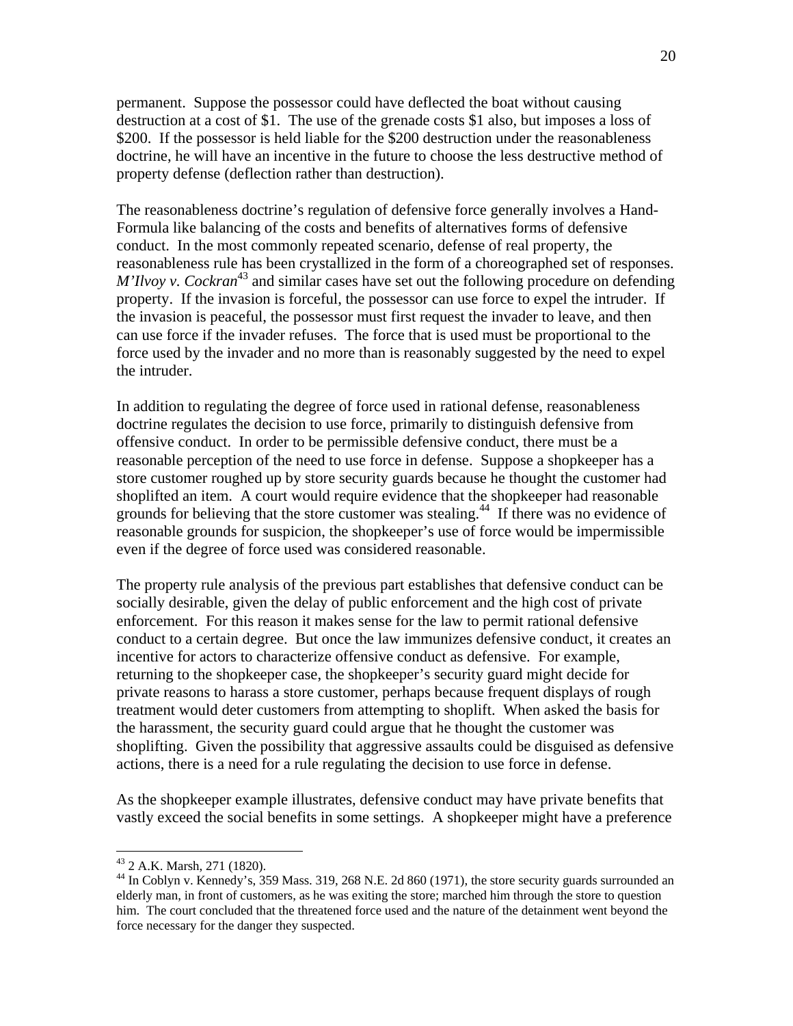permanent. Suppose the possessor could have deflected the boat without causing destruction at a cost of \$1. The use of the grenade costs \$1 also, but imposes a loss of \$200. If the possessor is held liable for the \$200 destruction under the reasonableness doctrine, he will have an incentive in the future to choose the less destructive method of property defense (deflection rather than destruction).

The reasonableness doctrine's regulation of defensive force generally involves a Hand-Formula like balancing of the costs and benefits of alternatives forms of defensive conduct. In the most commonly repeated scenario, defense of real property, the reasonableness rule has been crystallized in the form of a choreographed set of responses. *M'Ilvoy v. Cockran*<sup>43</sup> and similar cases have set out the following procedure on defending property. If the invasion is forceful, the possessor can use force to expel the intruder. If the invasion is peaceful, the possessor must first request the invader to leave, and then can use force if the invader refuses. The force that is used must be proportional to the force used by the invader and no more than is reasonably suggested by the need to expel the intruder.

In addition to regulating the degree of force used in rational defense, reasonableness doctrine regulates the decision to use force, primarily to distinguish defensive from offensive conduct. In order to be permissible defensive conduct, there must be a reasonable perception of the need to use force in defense. Suppose a shopkeeper has a store customer roughed up by store security guards because he thought the customer had shoplifted an item. A court would require evidence that the shopkeeper had reasonable grounds for believing that the store customer was stealing.<sup>44</sup> If there was no evidence of reasonable grounds for suspicion, the shopkeeper's use of force would be impermissible even if the degree of force used was considered reasonable.

The property rule analysis of the previous part establishes that defensive conduct can be socially desirable, given the delay of public enforcement and the high cost of private enforcement. For this reason it makes sense for the law to permit rational defensive conduct to a certain degree. But once the law immunizes defensive conduct, it creates an incentive for actors to characterize offensive conduct as defensive. For example, returning to the shopkeeper case, the shopkeeper's security guard might decide for private reasons to harass a store customer, perhaps because frequent displays of rough treatment would deter customers from attempting to shoplift. When asked the basis for the harassment, the security guard could argue that he thought the customer was shoplifting. Given the possibility that aggressive assaults could be disguised as defensive actions, there is a need for a rule regulating the decision to use force in defense.

As the shopkeeper example illustrates, defensive conduct may have private benefits that vastly exceed the social benefits in some settings. A shopkeeper might have a preference

<sup>43 2</sup> A.K. Marsh, 271 (1820).

<sup>&</sup>lt;sup>44</sup> In Coblyn v. Kennedy's, 359 Mass. 319, 268 N.E. 2d 860 (1971), the store security guards surrounded an elderly man, in front of customers, as he was exiting the store; marched him through the store to question him. The court concluded that the threatened force used and the nature of the detainment went beyond the force necessary for the danger they suspected.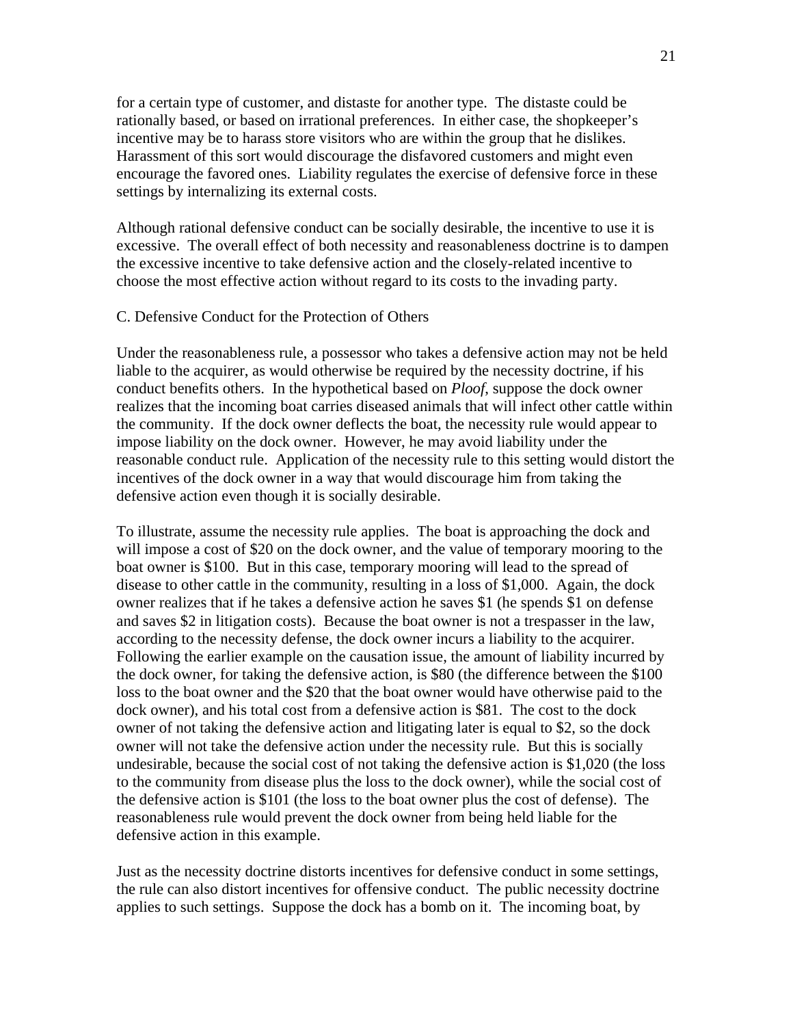for a certain type of customer, and distaste for another type. The distaste could be rationally based, or based on irrational preferences. In either case, the shopkeeper's incentive may be to harass store visitors who are within the group that he dislikes. Harassment of this sort would discourage the disfavored customers and might even encourage the favored ones. Liability regulates the exercise of defensive force in these settings by internalizing its external costs.

Although rational defensive conduct can be socially desirable, the incentive to use it is excessive. The overall effect of both necessity and reasonableness doctrine is to dampen the excessive incentive to take defensive action and the closely-related incentive to choose the most effective action without regard to its costs to the invading party.

#### C. Defensive Conduct for the Protection of Others

Under the reasonableness rule, a possessor who takes a defensive action may not be held liable to the acquirer, as would otherwise be required by the necessity doctrine, if his conduct benefits others. In the hypothetical based on *Ploof*, suppose the dock owner realizes that the incoming boat carries diseased animals that will infect other cattle within the community. If the dock owner deflects the boat, the necessity rule would appear to impose liability on the dock owner. However, he may avoid liability under the reasonable conduct rule. Application of the necessity rule to this setting would distort the incentives of the dock owner in a way that would discourage him from taking the defensive action even though it is socially desirable.

To illustrate, assume the necessity rule applies. The boat is approaching the dock and will impose a cost of \$20 on the dock owner, and the value of temporary mooring to the boat owner is \$100. But in this case, temporary mooring will lead to the spread of disease to other cattle in the community, resulting in a loss of \$1,000. Again, the dock owner realizes that if he takes a defensive action he saves \$1 (he spends \$1 on defense and saves \$2 in litigation costs). Because the boat owner is not a trespasser in the law, according to the necessity defense, the dock owner incurs a liability to the acquirer. Following the earlier example on the causation issue, the amount of liability incurred by the dock owner, for taking the defensive action, is \$80 (the difference between the \$100 loss to the boat owner and the \$20 that the boat owner would have otherwise paid to the dock owner), and his total cost from a defensive action is \$81. The cost to the dock owner of not taking the defensive action and litigating later is equal to \$2, so the dock owner will not take the defensive action under the necessity rule. But this is socially undesirable, because the social cost of not taking the defensive action is \$1,020 (the loss to the community from disease plus the loss to the dock owner), while the social cost of the defensive action is \$101 (the loss to the boat owner plus the cost of defense). The reasonableness rule would prevent the dock owner from being held liable for the defensive action in this example.

Just as the necessity doctrine distorts incentives for defensive conduct in some settings, the rule can also distort incentives for offensive conduct. The public necessity doctrine applies to such settings. Suppose the dock has a bomb on it. The incoming boat, by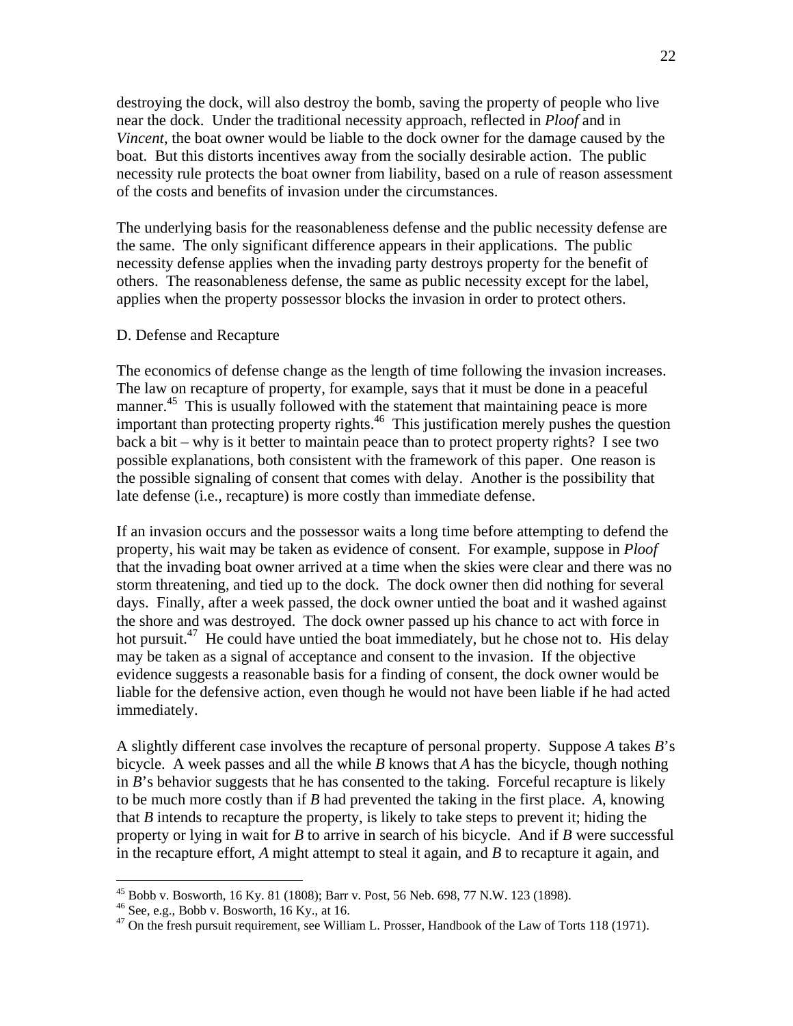destroying the dock, will also destroy the bomb, saving the property of people who live near the dock. Under the traditional necessity approach, reflected in *Ploof* and in *Vincent*, the boat owner would be liable to the dock owner for the damage caused by the boat. But this distorts incentives away from the socially desirable action. The public necessity rule protects the boat owner from liability, based on a rule of reason assessment of the costs and benefits of invasion under the circumstances.

The underlying basis for the reasonableness defense and the public necessity defense are the same. The only significant difference appears in their applications. The public necessity defense applies when the invading party destroys property for the benefit of others. The reasonableness defense, the same as public necessity except for the label, applies when the property possessor blocks the invasion in order to protect others.

## D. Defense and Recapture

The economics of defense change as the length of time following the invasion increases. The law on recapture of property, for example, says that it must be done in a peaceful manner.<sup>45</sup> This is usually followed with the statement that maintaining peace is more important than protecting property rights.<sup>46</sup> This justification merely pushes the question back a bit – why is it better to maintain peace than to protect property rights? I see two possible explanations, both consistent with the framework of this paper. One reason is the possible signaling of consent that comes with delay. Another is the possibility that late defense (i.e., recapture) is more costly than immediate defense.

If an invasion occurs and the possessor waits a long time before attempting to defend the property, his wait may be taken as evidence of consent. For example, suppose in *Ploof* that the invading boat owner arrived at a time when the skies were clear and there was no storm threatening, and tied up to the dock. The dock owner then did nothing for several days. Finally, after a week passed, the dock owner untied the boat and it washed against the shore and was destroyed. The dock owner passed up his chance to act with force in hot pursuit.<sup>47</sup> He could have untied the boat immediately, but he chose not to. His delay may be taken as a signal of acceptance and consent to the invasion. If the objective evidence suggests a reasonable basis for a finding of consent, the dock owner would be liable for the defensive action, even though he would not have been liable if he had acted immediately.

A slightly different case involves the recapture of personal property. Suppose *A* takes *B*'s bicycle. A week passes and all the while *B* knows that *A* has the bicycle, though nothing in  $B$ 's behavior suggests that he has consented to the taking. Forceful recapture is likely to be much more costly than if *B* had prevented the taking in the first place. *A*, knowing that *B* intends to recapture the property, is likely to take steps to prevent it; hiding the property or lying in wait for *B* to arrive in search of his bicycle. And if *B* were successful in the recapture effort, *A* might attempt to steal it again, and *B* to recapture it again, and

1

<sup>45</sup> Bobb v. Bosworth, 16 Ky. 81 (1808); Barr v. Post, 56 Neb. 698, 77 N.W. 123 (1898).

 $46$  See, e.g., Bobb v. Bosworth, 16 Ky., at 16.

 $47$  On the fresh pursuit requirement, see William L. Prosser, Handbook of the Law of Torts 118 (1971).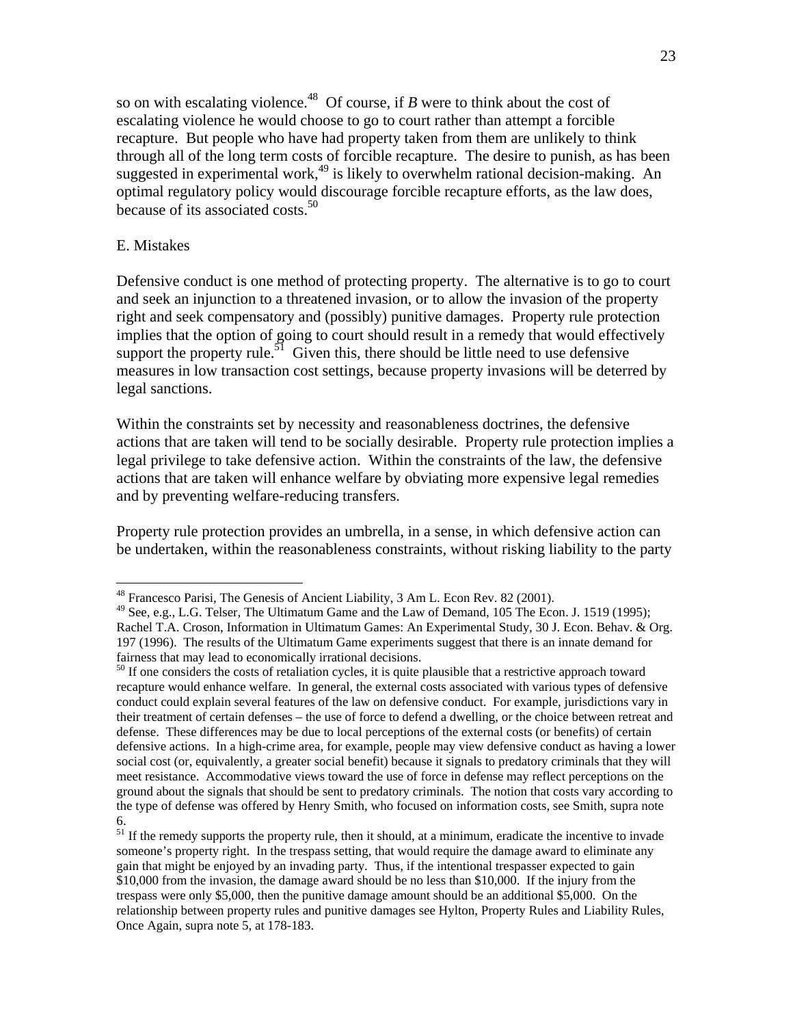so on with escalating violence.<sup>48</sup> Of course, if *B* were to think about the cost of escalating violence he would choose to go to court rather than attempt a forcible recapture. But people who have had property taken from them are unlikely to think through all of the long term costs of forcible recapture. The desire to punish, as has been suggested in experimental work,  $49$  is likely to overwhelm rational decision-making. An optimal regulatory policy would discourage forcible recapture efforts, as the law does, because of its associated costs.<sup>50</sup>

## E. Mistakes

1

Defensive conduct is one method of protecting property. The alternative is to go to court and seek an injunction to a threatened invasion, or to allow the invasion of the property right and seek compensatory and (possibly) punitive damages. Property rule protection implies that the option of going to court should result in a remedy that would effectively support the property rule.<sup>51</sup> Given this, there should be little need to use defensive measures in low transaction cost settings, because property invasions will be deterred by legal sanctions.

Within the constraints set by necessity and reasonableness doctrines, the defensive actions that are taken will tend to be socially desirable. Property rule protection implies a legal privilege to take defensive action. Within the constraints of the law, the defensive actions that are taken will enhance welfare by obviating more expensive legal remedies and by preventing welfare-reducing transfers.

Property rule protection provides an umbrella, in a sense, in which defensive action can be undertaken, within the reasonableness constraints, without risking liability to the party

<sup>&</sup>lt;sup>48</sup> Francesco Parisi, The Genesis of Ancient Liability, 3 Am L. Econ Rev. 82 (2001).

<sup>&</sup>lt;sup>49</sup> See, e.g., L.G. Telser, The Ultimatum Game and the Law of Demand, 105 The Econ. J. 1519 (1995); Rachel T.A. Croson, Information in Ultimatum Games: An Experimental Study, 30 J. Econ. Behav. & Org. 197 (1996). The results of the Ultimatum Game experiments suggest that there is an innate demand for fairness that may lead to economically irrational decisions.

<sup>&</sup>lt;sup>50</sup> If one considers the costs of retaliation cycles, it is quite plausible that a restrictive approach toward recapture would enhance welfare. In general, the external costs associated with various types of defensive conduct could explain several features of the law on defensive conduct. For example, jurisdictions vary in their treatment of certain defenses – the use of force to defend a dwelling, or the choice between retreat and defense. These differences may be due to local perceptions of the external costs (or benefits) of certain defensive actions. In a high-crime area, for example, people may view defensive conduct as having a lower social cost (or, equivalently, a greater social benefit) because it signals to predatory criminals that they will meet resistance. Accommodative views toward the use of force in defense may reflect perceptions on the ground about the signals that should be sent to predatory criminals. The notion that costs vary according to the type of defense was offered by Henry Smith, who focused on information costs, see Smith, supra note 6.

<sup>&</sup>lt;sup>51</sup> If the remedy supports the property rule, then it should, at a minimum, eradicate the incentive to invade someone's property right. In the trespass setting, that would require the damage award to eliminate any gain that might be enjoyed by an invading party. Thus, if the intentional trespasser expected to gain \$10,000 from the invasion, the damage award should be no less than \$10,000. If the injury from the trespass were only \$5,000, then the punitive damage amount should be an additional \$5,000. On the relationship between property rules and punitive damages see Hylton, Property Rules and Liability Rules, Once Again, supra note 5, at 178-183.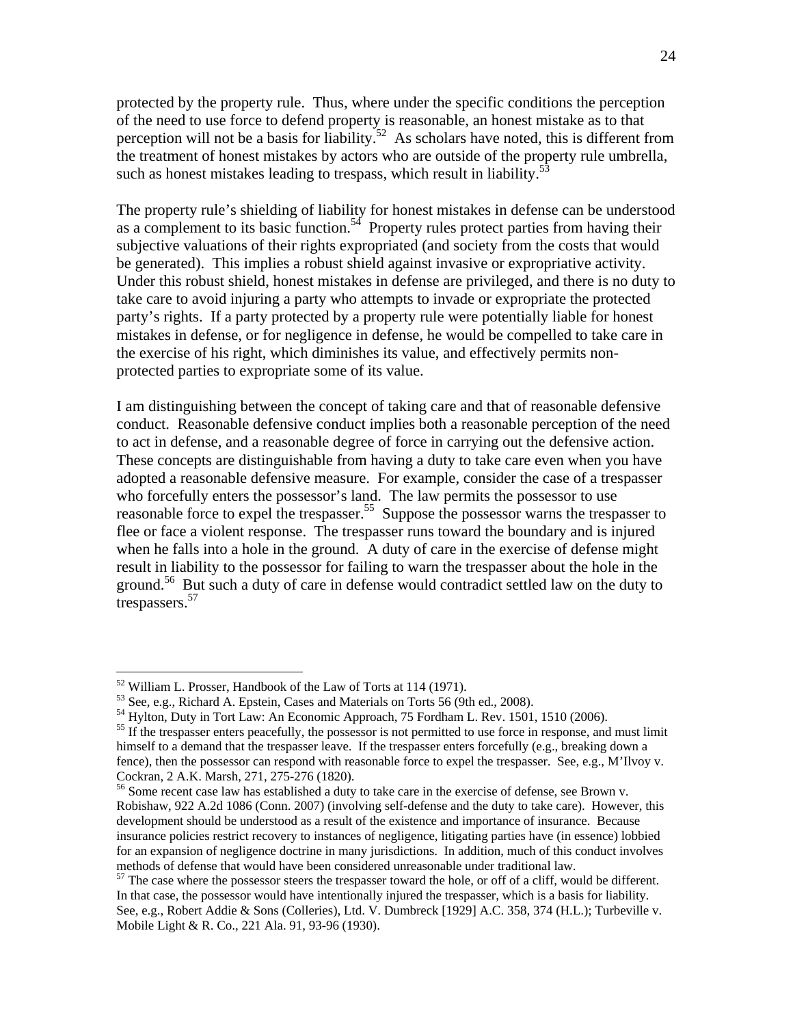protected by the property rule. Thus, where under the specific conditions the perception of the need to use force to defend property is reasonable, an honest mistake as to that perception will not be a basis for liability.<sup>52</sup> As scholars have noted, this is different from the treatment of honest mistakes by actors who are outside of the property rule umbrella, such as honest mistakes leading to trespass, which result in liability.<sup>53</sup>

The property rule's shielding of liability for honest mistakes in defense can be understood as a complement to its basic function.<sup>54</sup> Property rules protect parties from having their subjective valuations of their rights expropriated (and society from the costs that would be generated). This implies a robust shield against invasive or expropriative activity. Under this robust shield, honest mistakes in defense are privileged, and there is no duty to take care to avoid injuring a party who attempts to invade or expropriate the protected party's rights. If a party protected by a property rule were potentially liable for honest mistakes in defense, or for negligence in defense, he would be compelled to take care in the exercise of his right, which diminishes its value, and effectively permits nonprotected parties to expropriate some of its value.

I am distinguishing between the concept of taking care and that of reasonable defensive conduct. Reasonable defensive conduct implies both a reasonable perception of the need to act in defense, and a reasonable degree of force in carrying out the defensive action. These concepts are distinguishable from having a duty to take care even when you have adopted a reasonable defensive measure. For example, consider the case of a trespasser who forcefully enters the possessor's land. The law permits the possessor to use reasonable force to expel the trespasser.<sup>55</sup> Suppose the possessor warns the trespasser to flee or face a violent response. The trespasser runs toward the boundary and is injured when he falls into a hole in the ground. A duty of care in the exercise of defense might result in liability to the possessor for failing to warn the trespasser about the hole in the ground.<sup>56</sup> But such a duty of care in defense would contradict settled law on the duty to trespassers.<sup>57</sup>

<sup>&</sup>lt;sup>52</sup> William L. Prosser, Handbook of the Law of Torts at 114 (1971).<br><sup>53</sup> See, e.g., Richard A. Epstein, Cases and Materials on Torts 56 (9th ed., 2008).

<sup>&</sup>lt;sup>54</sup> Hylton, Duty in Tort Law: An Economic Approach, 75 Fordham L. Rev. 1501, 1510 (2006).

<sup>&</sup>lt;sup>55</sup> If the trespasser enters peacefully, the possessor is not permitted to use force in response, and must limit himself to a demand that the trespasser leave. If the trespasser enters forcefully (e.g., breaking down a fence), then the possessor can respond with reasonable force to expel the trespasser. See, e.g., M'Ilvoy v. Cockran, 2 A.K. Marsh, 271, 275-276 (1820).

<sup>&</sup>lt;sup>56</sup> Some recent case law has established a duty to take care in the exercise of defense, see Brown v. Robishaw, 922 A.2d 1086 (Conn. 2007) (involving self-defense and the duty to take care). However, this development should be understood as a result of the existence and importance of insurance. Because insurance policies restrict recovery to instances of negligence, litigating parties have (in essence) lobbied for an expansion of negligence doctrine in many jurisdictions. In addition, much of this conduct involves methods of defense that would have been considered unreasonable under traditional law.<br><sup>57</sup> The case where the possessor steers the trespasser toward the hole, or off of a cliff, would be different.

In that case, the possessor would have intentionally injured the trespasser, which is a basis for liability. See, e.g., Robert Addie & Sons (Colleries), Ltd. V. Dumbreck [1929] A.C. 358, 374 (H.L.); Turbeville v. Mobile Light & R. Co., 221 Ala. 91, 93-96 (1930).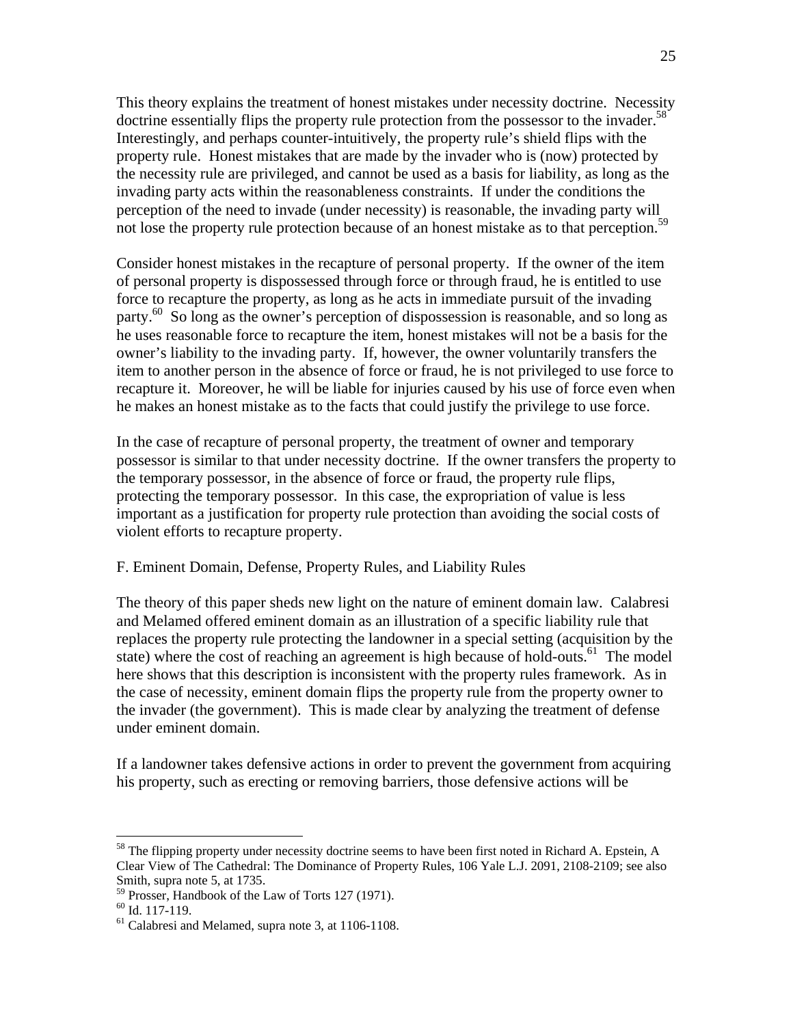This theory explains the treatment of honest mistakes under necessity doctrine. Necessity doctrine essentially flips the property rule protection from the possessor to the invader.<sup>58</sup> Interestingly, and perhaps counter-intuitively, the property rule's shield flips with the property rule. Honest mistakes that are made by the invader who is (now) protected by the necessity rule are privileged, and cannot be used as a basis for liability, as long as the invading party acts within the reasonableness constraints. If under the conditions the perception of the need to invade (under necessity) is reasonable, the invading party will not lose the property rule protection because of an honest mistake as to that perception.<sup>59</sup>

Consider honest mistakes in the recapture of personal property. If the owner of the item of personal property is dispossessed through force or through fraud, he is entitled to use force to recapture the property, as long as he acts in immediate pursuit of the invading party.<sup>60</sup> So long as the owner's perception of dispossession is reasonable, and so long as he uses reasonable force to recapture the item, honest mistakes will not be a basis for the owner's liability to the invading party. If, however, the owner voluntarily transfers the item to another person in the absence of force or fraud, he is not privileged to use force to recapture it. Moreover, he will be liable for injuries caused by his use of force even when he makes an honest mistake as to the facts that could justify the privilege to use force.

In the case of recapture of personal property, the treatment of owner and temporary possessor is similar to that under necessity doctrine. If the owner transfers the property to the temporary possessor, in the absence of force or fraud, the property rule flips, protecting the temporary possessor. In this case, the expropriation of value is less important as a justification for property rule protection than avoiding the social costs of violent efforts to recapture property.

## F. Eminent Domain, Defense, Property Rules, and Liability Rules

The theory of this paper sheds new light on the nature of eminent domain law. Calabresi and Melamed offered eminent domain as an illustration of a specific liability rule that replaces the property rule protecting the landowner in a special setting (acquisition by the state) where the cost of reaching an agreement is high because of hold-outs.<sup>61</sup> The model here shows that this description is inconsistent with the property rules framework. As in the case of necessity, eminent domain flips the property rule from the property owner to the invader (the government). This is made clear by analyzing the treatment of defense under eminent domain.

If a landowner takes defensive actions in order to prevent the government from acquiring his property, such as erecting or removing barriers, those defensive actions will be

1

 $58$  The flipping property under necessity doctrine seems to have been first noted in Richard A. Epstein, A Clear View of The Cathedral: The Dominance of Property Rules, 106 Yale L.J. 2091, 2108-2109; see also Smith, supra note 5, at 1735.

<sup>&</sup>lt;sup>59</sup> Prosser, Handbook of the Law of Torts 127 (1971).

<sup>60</sup> Id. 117-119.

 $<sup>61</sup>$  Calabresi and Melamed, supra note 3, at 1106-1108.</sup>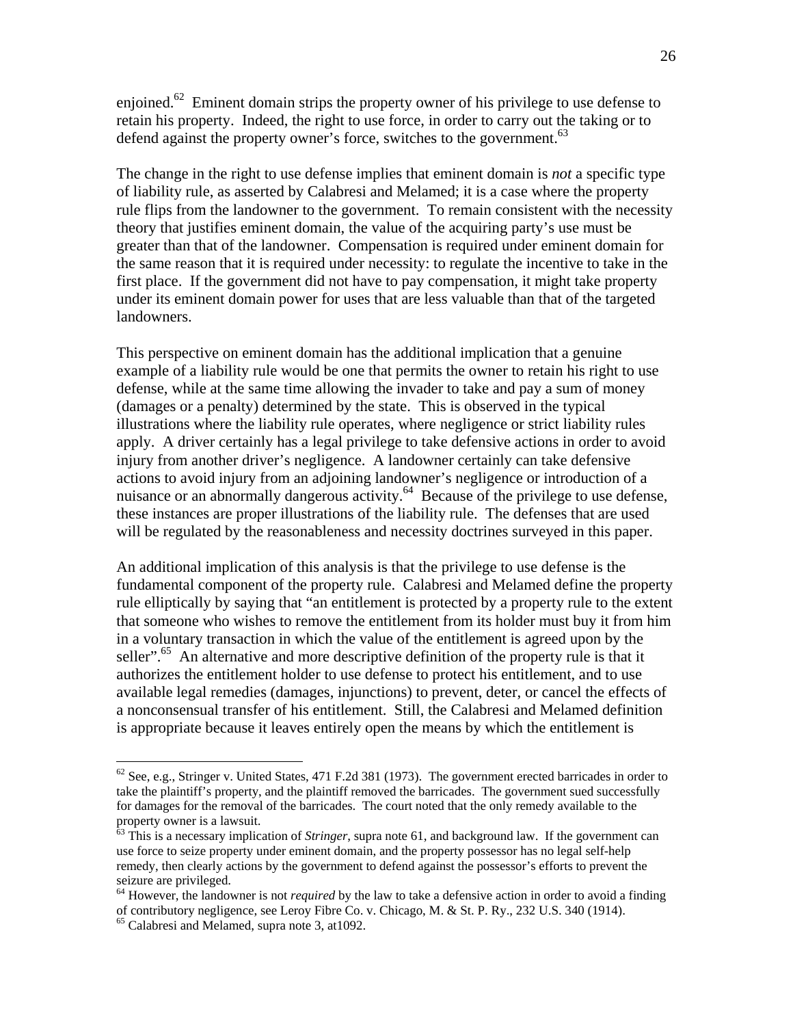enjoined.<sup>62</sup> Eminent domain strips the property owner of his privilege to use defense to retain his property. Indeed, the right to use force, in order to carry out the taking or to defend against the property owner's force, switches to the government.<sup>63</sup>

The change in the right to use defense implies that eminent domain is *not* a specific type of liability rule, as asserted by Calabresi and Melamed; it is a case where the property rule flips from the landowner to the government. To remain consistent with the necessity theory that justifies eminent domain, the value of the acquiring party's use must be greater than that of the landowner. Compensation is required under eminent domain for the same reason that it is required under necessity: to regulate the incentive to take in the first place. If the government did not have to pay compensation, it might take property under its eminent domain power for uses that are less valuable than that of the targeted landowners.

This perspective on eminent domain has the additional implication that a genuine example of a liability rule would be one that permits the owner to retain his right to use defense, while at the same time allowing the invader to take and pay a sum of money (damages or a penalty) determined by the state. This is observed in the typical illustrations where the liability rule operates, where negligence or strict liability rules apply. A driver certainly has a legal privilege to take defensive actions in order to avoid injury from another driver's negligence. A landowner certainly can take defensive actions to avoid injury from an adjoining landowner's negligence or introduction of a nuisance or an abnormally dangerous activity.<sup>64</sup> Because of the privilege to use defense, these instances are proper illustrations of the liability rule. The defenses that are used will be regulated by the reasonableness and necessity doctrines surveyed in this paper.

An additional implication of this analysis is that the privilege to use defense is the fundamental component of the property rule. Calabresi and Melamed define the property rule elliptically by saying that "an entitlement is protected by a property rule to the extent that someone who wishes to remove the entitlement from its holder must buy it from him in a voluntary transaction in which the value of the entitlement is agreed upon by the seller".<sup>65</sup> An alternative and more descriptive definition of the property rule is that it authorizes the entitlement holder to use defense to protect his entitlement, and to use available legal remedies (damages, injunctions) to prevent, deter, or cancel the effects of a nonconsensual transfer of his entitlement. Still, the Calabresi and Melamed definition is appropriate because it leaves entirely open the means by which the entitlement is

 $62$  See, e.g., Stringer v. United States, 471 F.2d 381 (1973). The government erected barricades in order to take the plaintiff's property, and the plaintiff removed the barricades. The government sued successfully for damages for the removal of the barricades. The court noted that the only remedy available to the property owner is a lawsuit.

<sup>&</sup>lt;sup>63</sup> This is a necessary implication of *Stringer*, supra note 61, and background law. If the government can use force to seize property under eminent domain, and the property possessor has no legal self-help remedy, then clearly actions by the government to defend against the possessor's efforts to prevent the seizure are privileged.

<sup>64</sup> However, the landowner is not *required* by the law to take a defensive action in order to avoid a finding of contributory negligence, see Leroy Fibre Co. v. Chicago, M. & St. P. Ry., 232 U.S. 340 (1914). 65 Calabresi and Melamed, supra note 3, at1092.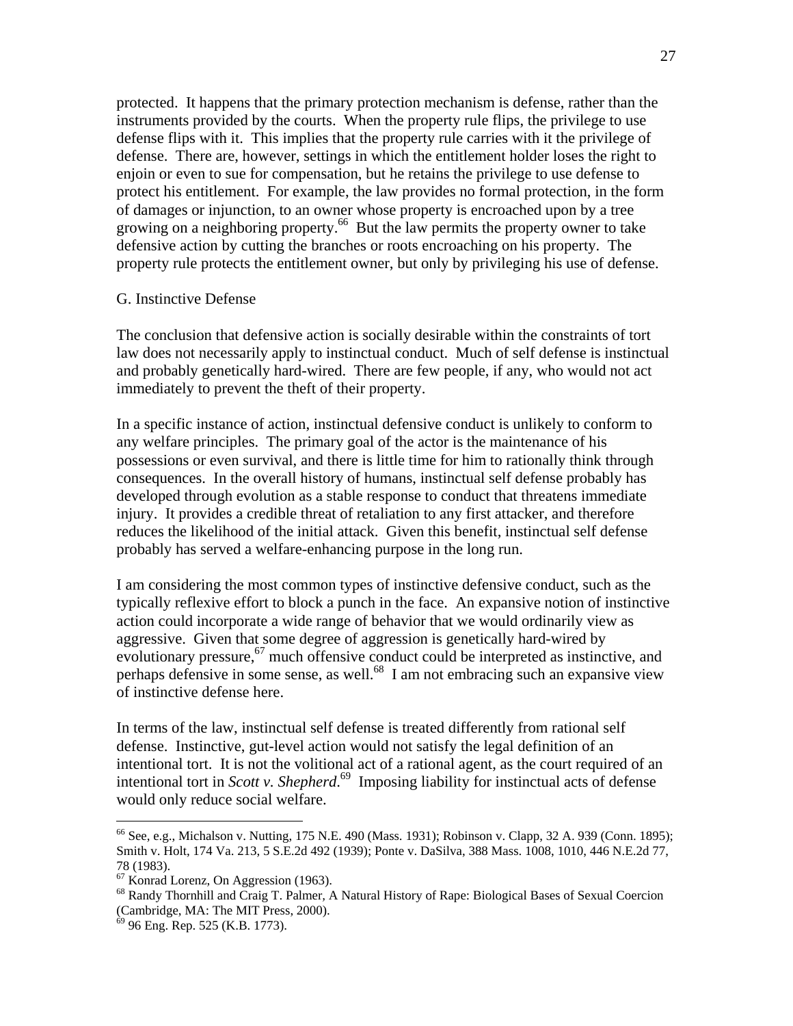protected. It happens that the primary protection mechanism is defense, rather than the instruments provided by the courts. When the property rule flips, the privilege to use defense flips with it. This implies that the property rule carries with it the privilege of defense. There are, however, settings in which the entitlement holder loses the right to enjoin or even to sue for compensation, but he retains the privilege to use defense to protect his entitlement. For example, the law provides no formal protection, in the form of damages or injunction, to an owner whose property is encroached upon by a tree growing on a neighboring property.<sup>66</sup> But the law permits the property owner to take defensive action by cutting the branches or roots encroaching on his property. The property rule protects the entitlement owner, but only by privileging his use of defense.

#### G. Instinctive Defense

The conclusion that defensive action is socially desirable within the constraints of tort law does not necessarily apply to instinctual conduct. Much of self defense is instinctual and probably genetically hard-wired. There are few people, if any, who would not act immediately to prevent the theft of their property.

In a specific instance of action, instinctual defensive conduct is unlikely to conform to any welfare principles. The primary goal of the actor is the maintenance of his possessions or even survival, and there is little time for him to rationally think through consequences. In the overall history of humans, instinctual self defense probably has developed through evolution as a stable response to conduct that threatens immediate injury. It provides a credible threat of retaliation to any first attacker, and therefore reduces the likelihood of the initial attack. Given this benefit, instinctual self defense probably has served a welfare-enhancing purpose in the long run.

I am considering the most common types of instinctive defensive conduct, such as the typically reflexive effort to block a punch in the face. An expansive notion of instinctive action could incorporate a wide range of behavior that we would ordinarily view as aggressive. Given that some degree of aggression is genetically hard-wired by evolutionary pressure,  $67$  much offensive conduct could be interpreted as instinctive, and perhaps defensive in some sense, as well.68 I am not embracing such an expansive view of instinctive defense here.

In terms of the law, instinctual self defense is treated differently from rational self defense. Instinctive, gut-level action would not satisfy the legal definition of an intentional tort. It is not the volitional act of a rational agent, as the court required of an intentional tort in *Scott v. Shepherd*. 69 Imposing liability for instinctual acts of defense would only reduce social welfare.

<sup>66</sup> See, e.g., Michalson v. Nutting, 175 N.E. 490 (Mass. 1931); Robinson v. Clapp, 32 A. 939 (Conn. 1895); Smith v. Holt, 174 Va. 213, 5 S.E.2d 492 (1939); Ponte v. DaSilva, 388 Mass. 1008, 1010, 446 N.E.2d 77, 78 (1983).

 $^{67}$  Konrad Lorenz, On Aggression (1963).

<sup>68</sup> Randy Thornhill and Craig T. Palmer*,* A Natural History of Rape: Biological Bases of Sexual Coercion (Cambridge, MA: The MIT Press, 2000).

 $69$  96 Eng. Rep. 525 (K.B. 1773).